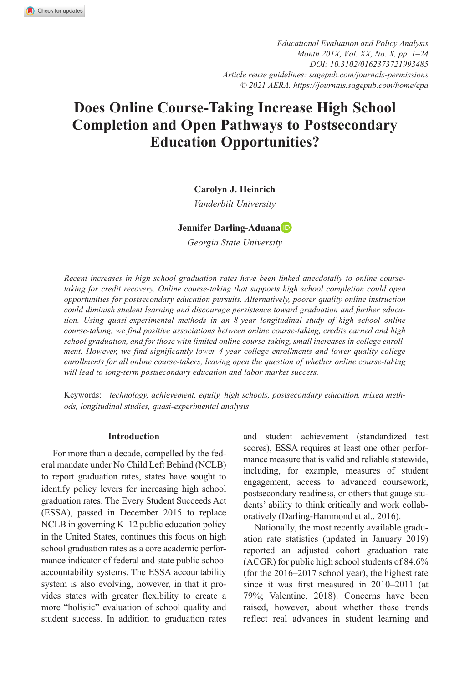*https://doi.org/10.3102/0162373721993485 [DOI: 10.3102/0162373721993485](http://doi.org/10.3102/0162373721993485) Educational Evaluation and Policy Analysis Month 201X, Vol. XX, No. X, pp. 1–24 Article reuse guidelines: [sagepub.com/journals-permissions](https://us.sagepub.com/en-us/journals-permissions) © 2021 AERA. https://journals.sagepub.com/home/epa*

# **Does Online Course-Taking Increase High School Completion and Open Pathways to Postsecondary Education Opportunities?**

### **Carolyn J. Heinrich**

*Vanderbilt University*

#### **Jennifer Darling-Aduana**

*Georgia State University*

*Recent increases in high school graduation rates have been linked anecdotally to online coursetaking for credit recovery. Online course-taking that supports high school completion could open opportunities for postsecondary education pursuits. Alternatively, poorer quality online instruction could diminish student learning and discourage persistence toward graduation and further education. Using quasi-experimental methods in an 8-year longitudinal study of high school online course-taking, we find positive associations between online course-taking, credits earned and high school graduation, and for those with limited online course-taking, small increases in college enrollment. However, we find significantly lower 4-year college enrollments and lower quality college enrollments for all online course-takers, leaving open the question of whether online course-taking will lead to long-term postsecondary education and labor market success.*

Keywords: *technology, achievement, equity, high schools, postsecondary education, mixed methods, longitudinal studies, quasi-experimental analysis*

### **Introduction**

For more than a decade, compelled by the federal mandate under No Child Left Behind (NCLB) to report graduation rates, states have sought to identify policy levers for increasing high school graduation rates. The Every Student Succeeds Act (ESSA), passed in December 2015 to replace NCLB in governing K–12 public education policy in the United States, continues this focus on high school graduation rates as a core academic performance indicator of federal and state public school accountability systems. The ESSA accountability system is also evolving, however, in that it provides states with greater flexibility to create a more "holistic" evaluation of school quality and student success. In addition to graduation rates and student achievement (standardized test scores), ESSA requires at least one other performance measure that is valid and reliable statewide, including, for example, measures of student engagement, access to advanced coursework, postsecondary readiness, or others that gauge students' ability to think critically and work collaboratively (Darling-Hammond et al., 2016).

Nationally, the most recently available graduation rate statistics (updated in January 2019) reported an adjusted cohort graduation rate (ACGR) for public high school students of 84.6% (for the 2016–2017 school year), the highest rate since it was first measured in 2010–2011 (at 79%; Valentine, 2018). Concerns have been raised, however, about whether these trends reflect real advances in student learning and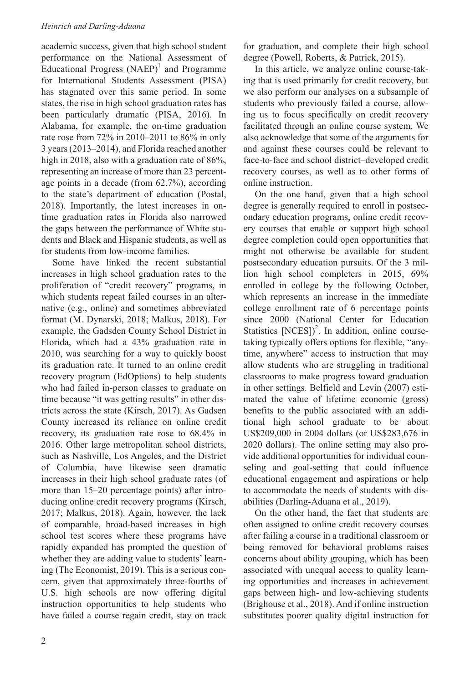academic success, given that high school student performance on the National Assessment of Educational Progress  $(NAEP)^1$  and Programme for International Students Assessment (PISA) has stagnated over this same period. In some states, the rise in high school graduation rates has been particularly dramatic (PISA, 2016). In Alabama, for example, the on-time graduation rate rose from 72% in 2010–2011 to 86% in only 3 years (2013–2014), and Florida reached another high in 2018, also with a graduation rate of 86%, representing an increase of more than 23 percentage points in a decade (from 62.7%), according to the state's department of education (Postal, 2018). Importantly, the latest increases in ontime graduation rates in Florida also narrowed the gaps between the performance of White students and Black and Hispanic students, as well as for students from low-income families.

Some have linked the recent substantial increases in high school graduation rates to the proliferation of "credit recovery" programs, in which students repeat failed courses in an alternative (e.g., online) and sometimes abbreviated format (M. Dynarski, 2018; Malkus, 2018). For example, the Gadsden County School District in Florida, which had a 43% graduation rate in 2010, was searching for a way to quickly boost its graduation rate. It turned to an online credit recovery program (EdOptions) to help students who had failed in-person classes to graduate on time because "it was getting results" in other districts across the state (Kirsch, 2017). As Gadsen County increased its reliance on online credit recovery, its graduation rate rose to 68.4% in 2016. Other large metropolitan school districts, such as Nashville, Los Angeles, and the District of Columbia, have likewise seen dramatic increases in their high school graduate rates (of more than 15–20 percentage points) after introducing online credit recovery programs (Kirsch, 2017; Malkus, 2018). Again, however, the lack of comparable, broad-based increases in high school test scores where these programs have rapidly expanded has prompted the question of whether they are adding value to students' learning (The Economist, 2019). This is a serious concern, given that approximately three-fourths of U.S. high schools are now offering digital instruction opportunities to help students who have failed a course regain credit, stay on track

for graduation, and complete their high school degree (Powell, Roberts, & Patrick, 2015).

In this article, we analyze online course-taking that is used primarily for credit recovery, but we also perform our analyses on a subsample of students who previously failed a course, allowing us to focus specifically on credit recovery facilitated through an online course system. We also acknowledge that some of the arguments for and against these courses could be relevant to face-to-face and school district–developed credit recovery courses, as well as to other forms of online instruction.

On the one hand, given that a high school degree is generally required to enroll in postsecondary education programs, online credit recovery courses that enable or support high school degree completion could open opportunities that might not otherwise be available for student postsecondary education pursuits. Of the 3 million high school completers in 2015, 69% enrolled in college by the following October, which represents an increase in the immediate college enrollment rate of 6 percentage points since 2000 (National Center for Education Statistics  $[NCES])^2$ . In addition, online coursetaking typically offers options for flexible, "anytime, anywhere" access to instruction that may allow students who are struggling in traditional classrooms to make progress toward graduation in other settings. Belfield and Levin (2007) estimated the value of lifetime economic (gross) benefits to the public associated with an additional high school graduate to be about US\$209,000 in 2004 dollars (or US\$283,676 in 2020 dollars). The online setting may also provide additional opportunities for individual counseling and goal-setting that could influence educational engagement and aspirations or help to accommodate the needs of students with disabilities (Darling-Aduana et al., 2019).

On the other hand, the fact that students are often assigned to online credit recovery courses after failing a course in a traditional classroom or being removed for behavioral problems raises concerns about ability grouping, which has been associated with unequal access to quality learning opportunities and increases in achievement gaps between high- and low-achieving students (Brighouse et al., 2018). And if online instruction substitutes poorer quality digital instruction for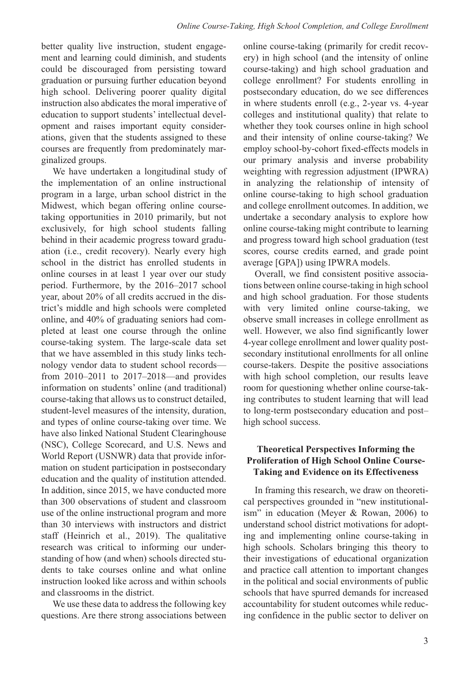better quality live instruction, student engagement and learning could diminish, and students could be discouraged from persisting toward graduation or pursuing further education beyond high school. Delivering poorer quality digital instruction also abdicates the moral imperative of education to support students' intellectual development and raises important equity considerations, given that the students assigned to these courses are frequently from predominately marginalized groups.

We have undertaken a longitudinal study of the implementation of an online instructional program in a large, urban school district in the Midwest, which began offering online coursetaking opportunities in 2010 primarily, but not exclusively, for high school students falling behind in their academic progress toward graduation (i.e., credit recovery). Nearly every high school in the district has enrolled students in online courses in at least 1 year over our study period. Furthermore, by the 2016–2017 school year, about 20% of all credits accrued in the district's middle and high schools were completed online, and 40% of graduating seniors had completed at least one course through the online course-taking system. The large-scale data set that we have assembled in this study links technology vendor data to student school records from 2010–2011 to 2017–2018—and provides information on students' online (and traditional) course-taking that allows us to construct detailed, student-level measures of the intensity, duration, and types of online course-taking over time. We have also linked National Student Clearinghouse (NSC), College Scorecard, and U.S. News and World Report (USNWR) data that provide information on student participation in postsecondary education and the quality of institution attended. In addition, since 2015, we have conducted more than 300 observations of student and classroom use of the online instructional program and more than 30 interviews with instructors and district staff (Heinrich et al., 2019). The qualitative research was critical to informing our understanding of how (and when) schools directed students to take courses online and what online instruction looked like across and within schools and classrooms in the district.

We use these data to address the following key questions. Are there strong associations between

online course-taking (primarily for credit recovery) in high school (and the intensity of online course-taking) and high school graduation and college enrollment? For students enrolling in postsecondary education, do we see differences in where students enroll (e.g., 2-year vs. 4-year colleges and institutional quality) that relate to whether they took courses online in high school and their intensity of online course-taking? We employ school-by-cohort fixed-effects models in our primary analysis and inverse probability weighting with regression adjustment (IPWRA) in analyzing the relationship of intensity of online course-taking to high school graduation and college enrollment outcomes. In addition, we undertake a secondary analysis to explore how online course-taking might contribute to learning and progress toward high school graduation (test scores, course credits earned, and grade point average [GPA]) using IPWRA models.

Overall, we find consistent positive associations between online course-taking in high school and high school graduation. For those students with very limited online course-taking, we observe small increases in college enrollment as well. However, we also find significantly lower 4-year college enrollment and lower quality postsecondary institutional enrollments for all online course-takers. Despite the positive associations with high school completion, our results leave room for questioning whether online course-taking contributes to student learning that will lead to long-term postsecondary education and post– high school success.

# **Theoretical Perspectives Informing the Proliferation of High School Online Course-Taking and Evidence on its Effectiveness**

In framing this research, we draw on theoretical perspectives grounded in "new institutionalism" in education (Meyer & Rowan, 2006) to understand school district motivations for adopting and implementing online course-taking in high schools. Scholars bringing this theory to their investigations of educational organization and practice call attention to important changes in the political and social environments of public schools that have spurred demands for increased accountability for student outcomes while reducing confidence in the public sector to deliver on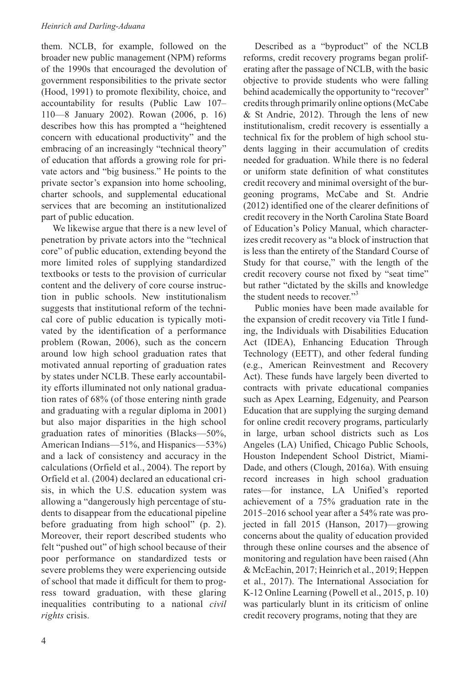them. NCLB, for example, followed on the broader new public management (NPM) reforms of the 1990s that encouraged the devolution of government responsibilities to the private sector (Hood, 1991) to promote flexibility, choice, and accountability for results (Public Law 107– 110—8 January 2002). Rowan (2006, p. 16) describes how this has prompted a "heightened concern with educational productivity" and the embracing of an increasingly "technical theory" of education that affords a growing role for private actors and "big business." He points to the private sector's expansion into home schooling, charter schools, and supplemental educational services that are becoming an institutionalized part of public education.

We likewise argue that there is a new level of penetration by private actors into the "technical core" of public education, extending beyond the more limited roles of supplying standardized textbooks or tests to the provision of curricular content and the delivery of core course instruction in public schools. New institutionalism suggests that institutional reform of the technical core of public education is typically motivated by the identification of a performance problem (Rowan, 2006), such as the concern around low high school graduation rates that motivated annual reporting of graduation rates by states under NCLB. These early accountability efforts illuminated not only national graduation rates of 68% (of those entering ninth grade and graduating with a regular diploma in 2001) but also major disparities in the high school graduation rates of minorities (Blacks—50%, American Indians—51%, and Hispanics—53%) and a lack of consistency and accuracy in the calculations (Orfield et al., 2004). The report by Orfield et al. (2004) declared an educational crisis, in which the U.S. education system was allowing a "dangerously high percentage of students to disappear from the educational pipeline before graduating from high school" (p. 2). Moreover, their report described students who felt "pushed out" of high school because of their poor performance on standardized tests or severe problems they were experiencing outside of school that made it difficult for them to progress toward graduation, with these glaring inequalities contributing to a national *civil rights* crisis.

Described as a "byproduct" of the NCLB reforms, credit recovery programs began proliferating after the passage of NCLB, with the basic objective to provide students who were falling behind academically the opportunity to "recover" credits through primarily online options (McCabe & St Andrie, 2012). Through the lens of new institutionalism, credit recovery is essentially a technical fix for the problem of high school students lagging in their accumulation of credits needed for graduation. While there is no federal or uniform state definition of what constitutes credit recovery and minimal oversight of the burgeoning programs, McCabe and St. Andrie (2012) identified one of the clearer definitions of credit recovery in the North Carolina State Board of Education's Policy Manual, which characterizes credit recovery as "a block of instruction that is less than the entirety of the Standard Course of Study for that course," with the length of the credit recovery course not fixed by "seat time" but rather "dictated by the skills and knowledge the student needs to recover."3

Public monies have been made available for the expansion of credit recovery via Title I funding, the Individuals with Disabilities Education Act (IDEA), Enhancing Education Through Technology (EETT), and other federal funding (e.g., American Reinvestment and Recovery Act). These funds have largely been diverted to contracts with private educational companies such as Apex Learning, Edgenuity, and Pearson Education that are supplying the surging demand for online credit recovery programs, particularly in large, urban school districts such as Los Angeles (LA) Unified, Chicago Public Schools, Houston Independent School District, Miami-Dade, and others (Clough, 2016a). With ensuing record increases in high school graduation rates—for instance, LA Unified's reported achievement of a 75% graduation rate in the 2015–2016 school year after a 54% rate was projected in fall 2015 (Hanson, 2017)—growing concerns about the quality of education provided through these online courses and the absence of monitoring and regulation have been raised (Ahn & McEachin, 2017; Heinrich et al., 2019; Heppen et al., 2017). The International Association for K-12 Online Learning (Powell et al., 2015, p. 10) was particularly blunt in its criticism of online credit recovery programs, noting that they are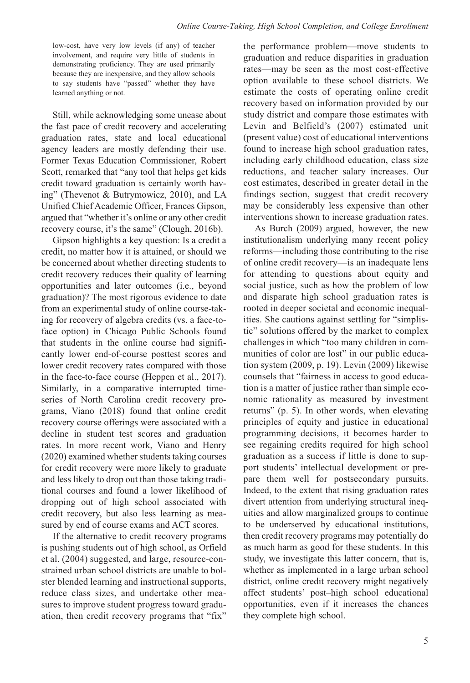low-cost, have very low levels (if any) of teacher involvement, and require very little of students in demonstrating proficiency. They are used primarily because they are inexpensive, and they allow schools to say students have "passed" whether they have learned anything or not.

Still, while acknowledging some unease about the fast pace of credit recovery and accelerating graduation rates, state and local educational agency leaders are mostly defending their use. Former Texas Education Commissioner, Robert Scott, remarked that "any tool that helps get kids credit toward graduation is certainly worth having" (Thevenot & Butrymowicz, 2010), and LA Unified Chief Academic Officer, Frances Gipson, argued that "whether it's online or any other credit recovery course, it's the same" (Clough, 2016b).

Gipson highlights a key question: Is a credit a credit, no matter how it is attained, or should we be concerned about whether directing students to credit recovery reduces their quality of learning opportunities and later outcomes (i.e., beyond graduation)? The most rigorous evidence to date from an experimental study of online course-taking for recovery of algebra credits (vs. a face-toface option) in Chicago Public Schools found that students in the online course had significantly lower end-of-course posttest scores and lower credit recovery rates compared with those in the face-to-face course (Heppen et al., 2017). Similarly, in a comparative interrupted timeseries of North Carolina credit recovery programs, Viano (2018) found that online credit recovery course offerings were associated with a decline in student test scores and graduation rates. In more recent work, Viano and Henry (2020) examined whether students taking courses for credit recovery were more likely to graduate and less likely to drop out than those taking traditional courses and found a lower likelihood of dropping out of high school associated with credit recovery, but also less learning as measured by end of course exams and ACT scores.

If the alternative to credit recovery programs is pushing students out of high school, as Orfield et al. (2004) suggested, and large, resource-constrained urban school districts are unable to bolster blended learning and instructional supports, reduce class sizes, and undertake other measures to improve student progress toward graduation, then credit recovery programs that "fix" the performance problem—move students to graduation and reduce disparities in graduation rates—may be seen as the most cost-effective option available to these school districts. We estimate the costs of operating online credit recovery based on information provided by our study district and compare those estimates with Levin and Belfield's (2007) estimated unit (present value) cost of educational interventions found to increase high school graduation rates, including early childhood education, class size reductions, and teacher salary increases. Our cost estimates, described in greater detail in the findings section, suggest that credit recovery may be considerably less expensive than other interventions shown to increase graduation rates.

As Burch (2009) argued, however, the new institutionalism underlying many recent policy reforms—including those contributing to the rise of online credit recovery—is an inadequate lens for attending to questions about equity and social justice, such as how the problem of low and disparate high school graduation rates is rooted in deeper societal and economic inequalities. She cautions against settling for "simplistic" solutions offered by the market to complex challenges in which "too many children in communities of color are lost" in our public education system (2009, p. 19). Levin (2009) likewise counsels that "fairness in access to good education is a matter of justice rather than simple economic rationality as measured by investment returns" (p. 5). In other words, when elevating principles of equity and justice in educational programming decisions, it becomes harder to see regaining credits required for high school graduation as a success if little is done to support students' intellectual development or prepare them well for postsecondary pursuits. Indeed, to the extent that rising graduation rates divert attention from underlying structural inequities and allow marginalized groups to continue to be underserved by educational institutions, then credit recovery programs may potentially do as much harm as good for these students. In this study, we investigate this latter concern, that is, whether as implemented in a large urban school district, online credit recovery might negatively affect students' post–high school educational opportunities, even if it increases the chances they complete high school.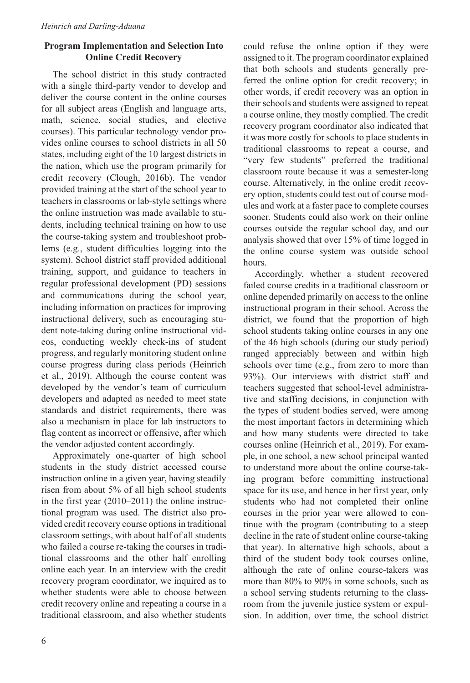# **Program Implementation and Selection Into Online Credit Recovery**

The school district in this study contracted with a single third-party vendor to develop and deliver the course content in the online courses for all subject areas (English and language arts, math, science, social studies, and elective courses). This particular technology vendor provides online courses to school districts in all 50 states, including eight of the 10 largest districts in the nation, which use the program primarily for credit recovery (Clough, 2016b). The vendor provided training at the start of the school year to teachers in classrooms or lab-style settings where the online instruction was made available to students, including technical training on how to use the course-taking system and troubleshoot problems (e.g., student difficulties logging into the system). School district staff provided additional training, support, and guidance to teachers in regular professional development (PD) sessions and communications during the school year, including information on practices for improving instructional delivery, such as encouraging student note-taking during online instructional videos, conducting weekly check-ins of student progress, and regularly monitoring student online course progress during class periods (Heinrich et al., 2019). Although the course content was developed by the vendor's team of curriculum developers and adapted as needed to meet state standards and district requirements, there was also a mechanism in place for lab instructors to flag content as incorrect or offensive, after which the vendor adjusted content accordingly.

Approximately one-quarter of high school students in the study district accessed course instruction online in a given year, having steadily risen from about 5% of all high school students in the first year (2010–2011) the online instructional program was used. The district also provided credit recovery course options in traditional classroom settings, with about half of all students who failed a course re-taking the courses in traditional classrooms and the other half enrolling online each year. In an interview with the credit recovery program coordinator, we inquired as to whether students were able to choose between credit recovery online and repeating a course in a traditional classroom, and also whether students could refuse the online option if they were assigned to it. The program coordinator explained that both schools and students generally preferred the online option for credit recovery; in other words, if credit recovery was an option in their schools and students were assigned to repeat a course online, they mostly complied. The credit recovery program coordinator also indicated that it was more costly for schools to place students in traditional classrooms to repeat a course, and "very few students" preferred the traditional classroom route because it was a semester-long course. Alternatively, in the online credit recovery option, students could test out of course modules and work at a faster pace to complete courses sooner. Students could also work on their online courses outside the regular school day, and our analysis showed that over 15% of time logged in the online course system was outside school hours.

Accordingly, whether a student recovered failed course credits in a traditional classroom or online depended primarily on access to the online instructional program in their school. Across the district, we found that the proportion of high school students taking online courses in any one of the 46 high schools (during our study period) ranged appreciably between and within high schools over time (e.g., from zero to more than 93%). Our interviews with district staff and teachers suggested that school-level administrative and staffing decisions, in conjunction with the types of student bodies served, were among the most important factors in determining which and how many students were directed to take courses online (Heinrich et al., 2019). For example, in one school, a new school principal wanted to understand more about the online course-taking program before committing instructional space for its use, and hence in her first year, only students who had not completed their online courses in the prior year were allowed to continue with the program (contributing to a steep decline in the rate of student online course-taking that year). In alternative high schools, about a third of the student body took courses online, although the rate of online course-takers was more than 80% to 90% in some schools, such as a school serving students returning to the classroom from the juvenile justice system or expulsion. In addition, over time, the school district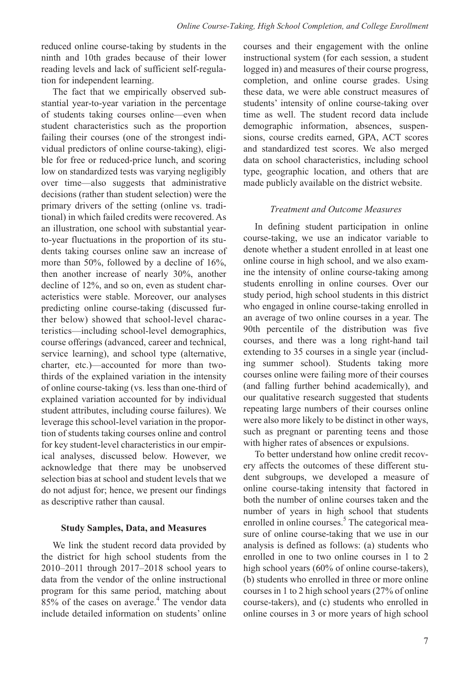reduced online course-taking by students in the ninth and 10th grades because of their lower reading levels and lack of sufficient self-regulation for independent learning.

The fact that we empirically observed substantial year-to-year variation in the percentage of students taking courses online—even when student characteristics such as the proportion failing their courses (one of the strongest individual predictors of online course-taking), eligible for free or reduced-price lunch, and scoring low on standardized tests was varying negligibly over time—also suggests that administrative decisions (rather than student selection) were the primary drivers of the setting (online vs. traditional) in which failed credits were recovered. As an illustration, one school with substantial yearto-year fluctuations in the proportion of its students taking courses online saw an increase of more than 50%, followed by a decline of 16%, then another increase of nearly 30%, another decline of 12%, and so on, even as student characteristics were stable. Moreover, our analyses predicting online course-taking (discussed further below) showed that school-level characteristics—including school-level demographics, course offerings (advanced, career and technical, service learning), and school type (alternative, charter, etc.)—accounted for more than twothirds of the explained variation in the intensity of online course-taking (vs. less than one-third of explained variation accounted for by individual student attributes, including course failures). We leverage this school-level variation in the proportion of students taking courses online and control for key student-level characteristics in our empirical analyses, discussed below. However, we acknowledge that there may be unobserved selection bias at school and student levels that we do not adjust for; hence, we present our findings as descriptive rather than causal.

# **Study Samples, Data, and Measures**

We link the student record data provided by the district for high school students from the 2010–2011 through 2017–2018 school years to data from the vendor of the online instructional program for this same period, matching about 85% of the cases on average.<sup>4</sup> The vendor data include detailed information on students' online

courses and their engagement with the online instructional system (for each session, a student logged in) and measures of their course progress, completion, and online course grades. Using these data, we were able construct measures of students' intensity of online course-taking over time as well. The student record data include demographic information, absences, suspensions, course credits earned, GPA, ACT scores and standardized test scores. We also merged data on school characteristics, including school type, geographic location, and others that are made publicly available on the district website.

### *Treatment and Outcome Measures*

In defining student participation in online course-taking, we use an indicator variable to denote whether a student enrolled in at least one online course in high school, and we also examine the intensity of online course-taking among students enrolling in online courses. Over our study period, high school students in this district who engaged in online course-taking enrolled in an average of two online courses in a year. The 90th percentile of the distribution was five courses, and there was a long right-hand tail extending to 35 courses in a single year (including summer school). Students taking more courses online were failing more of their courses (and falling further behind academically), and our qualitative research suggested that students repeating large numbers of their courses online were also more likely to be distinct in other ways, such as pregnant or parenting teens and those with higher rates of absences or expulsions.

To better understand how online credit recovery affects the outcomes of these different student subgroups, we developed a measure of online course-taking intensity that factored in both the number of online courses taken and the number of years in high school that students enrolled in online courses.<sup>5</sup> The categorical measure of online course-taking that we use in our analysis is defined as follows: (a) students who enrolled in one to two online courses in 1 to 2 high school years (60% of online course-takers), (b) students who enrolled in three or more online courses in 1 to 2 high school years (27% of online course-takers), and (c) students who enrolled in online courses in 3 or more years of high school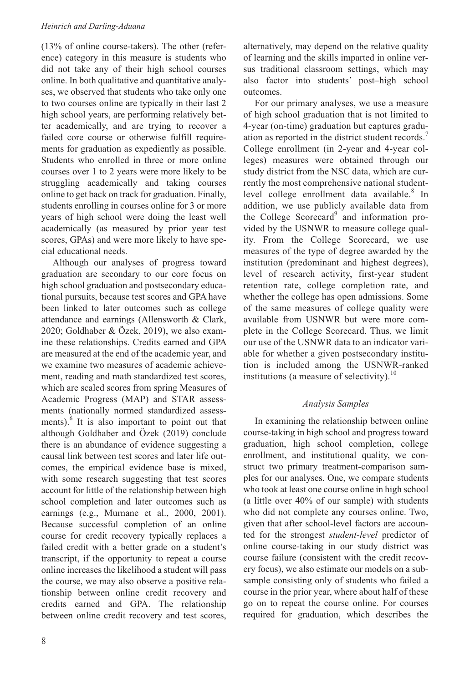(13% of online course-takers). The other (reference) category in this measure is students who did not take any of their high school courses online. In both qualitative and quantitative analyses, we observed that students who take only one to two courses online are typically in their last 2 high school years, are performing relatively better academically, and are trying to recover a failed core course or otherwise fulfill requirements for graduation as expediently as possible. Students who enrolled in three or more online courses over 1 to 2 years were more likely to be struggling academically and taking courses online to get back on track for graduation. Finally, students enrolling in courses online for 3 or more years of high school were doing the least well academically (as measured by prior year test scores, GPAs) and were more likely to have special educational needs.

Although our analyses of progress toward graduation are secondary to our core focus on high school graduation and postsecondary educational pursuits, because test scores and GPA have been linked to later outcomes such as college attendance and earnings (Allensworth & Clark, 2020; Goldhaber & Özek, 2019), we also examine these relationships. Credits earned and GPA are measured at the end of the academic year, and we examine two measures of academic achievement, reading and math standardized test scores, which are scaled scores from spring Measures of Academic Progress (MAP) and STAR assessments (nationally normed standardized assessments).<sup>6</sup> It is also important to point out that although Goldhaber and Özek (2019) conclude there is an abundance of evidence suggesting a causal link between test scores and later life outcomes, the empirical evidence base is mixed, with some research suggesting that test scores account for little of the relationship between high school completion and later outcomes such as earnings (e.g., Murnane et al., 2000, 2001). Because successful completion of an online course for credit recovery typically replaces a failed credit with a better grade on a student's transcript, if the opportunity to repeat a course online increases the likelihood a student will pass the course, we may also observe a positive relationship between online credit recovery and credits earned and GPA. The relationship between online credit recovery and test scores,

For our primary analyses, we use a measure of high school graduation that is not limited to 4-year (on-time) graduation but captures graduation as reported in the district student records.<sup>7</sup> College enrollment (in 2-year and 4-year colleges) measures were obtained through our study district from the NSC data, which are currently the most comprehensive national studentlevel college enrollment data available.<sup>8</sup> In addition, we use publicly available data from the College Scorecard<sup>9</sup> and information provided by the USNWR to measure college quality. From the College Scorecard, we use measures of the type of degree awarded by the institution (predominant and highest degrees), level of research activity, first-year student retention rate, college completion rate, and whether the college has open admissions. Some of the same measures of college quality were available from USNWR but were more complete in the College Scorecard. Thus, we limit our use of the USNWR data to an indicator variable for whether a given postsecondary institution is included among the USNWR-ranked institutions (a measure of selectivity). $10$ 

# *Analysis Samples*

In examining the relationship between online course-taking in high school and progress toward graduation, high school completion, college enrollment, and institutional quality, we construct two primary treatment-comparison samples for our analyses. One, we compare students who took at least one course online in high school (a little over 40% of our sample) with students who did not complete any courses online. Two, given that after school-level factors are accounted for the strongest *student-level* predictor of online course-taking in our study district was course failure (consistent with the credit recovery focus), we also estimate our models on a subsample consisting only of students who failed a course in the prior year, where about half of these go on to repeat the course online. For courses required for graduation, which describes the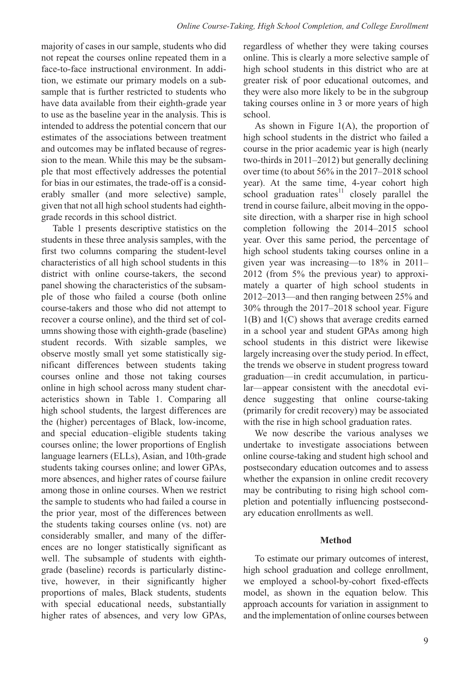majority of cases in our sample, students who did not repeat the courses online repeated them in a face-to-face instructional environment. In addition, we estimate our primary models on a subsample that is further restricted to students who have data available from their eighth-grade year to use as the baseline year in the analysis. This is intended to address the potential concern that our estimates of the associations between treatment and outcomes may be inflated because of regression to the mean. While this may be the subsample that most effectively addresses the potential for bias in our estimates, the trade-off is a considerably smaller (and more selective) sample, given that not all high school students had eighthgrade records in this school district.

Table 1 presents descriptive statistics on the students in these three analysis samples, with the first two columns comparing the student-level characteristics of all high school students in this district with online course-takers, the second panel showing the characteristics of the subsample of those who failed a course (both online course-takers and those who did not attempt to recover a course online), and the third set of columns showing those with eighth-grade (baseline) student records. With sizable samples, we observe mostly small yet some statistically significant differences between students taking courses online and those not taking courses online in high school across many student characteristics shown in Table 1. Comparing all high school students, the largest differences are the (higher) percentages of Black, low-income, and special education–eligible students taking courses online; the lower proportions of English language learners (ELLs), Asian, and 10th-grade students taking courses online; and lower GPAs, more absences, and higher rates of course failure among those in online courses. When we restrict the sample to students who had failed a course in the prior year, most of the differences between the students taking courses online (vs. not) are considerably smaller, and many of the differences are no longer statistically significant as well. The subsample of students with eighthgrade (baseline) records is particularly distinctive, however, in their significantly higher proportions of males, Black students, students with special educational needs, substantially higher rates of absences, and very low GPAs,

regardless of whether they were taking courses online. This is clearly a more selective sample of high school students in this district who are at greater risk of poor educational outcomes, and they were also more likely to be in the subgroup taking courses online in 3 or more years of high school.

As shown in Figure 1(A), the proportion of high school students in the district who failed a course in the prior academic year is high (nearly two-thirds in 2011–2012) but generally declining over time (to about 56% in the 2017–2018 school year). At the same time, 4-year cohort high  $s$ chool graduation rates $11$  closely parallel the trend in course failure, albeit moving in the opposite direction, with a sharper rise in high school completion following the 2014–2015 school year. Over this same period, the percentage of high school students taking courses online in a given year was increasing—to 18% in 2011– 2012 (from 5% the previous year) to approximately a quarter of high school students in 2012–2013—and then ranging between 25% and 30% through the 2017–2018 school year. Figure 1(B) and 1(C) shows that average credits earned in a school year and student GPAs among high school students in this district were likewise largely increasing over the study period. In effect, the trends we observe in student progress toward graduation—in credit accumulation, in particular—appear consistent with the anecdotal evidence suggesting that online course-taking (primarily for credit recovery) may be associated with the rise in high school graduation rates.

We now describe the various analyses we undertake to investigate associations between online course-taking and student high school and postsecondary education outcomes and to assess whether the expansion in online credit recovery may be contributing to rising high school completion and potentially influencing postsecondary education enrollments as well.

### **Method**

To estimate our primary outcomes of interest, high school graduation and college enrollment, we employed a school-by-cohort fixed-effects model, as shown in the equation below. This approach accounts for variation in assignment to and the implementation of online courses between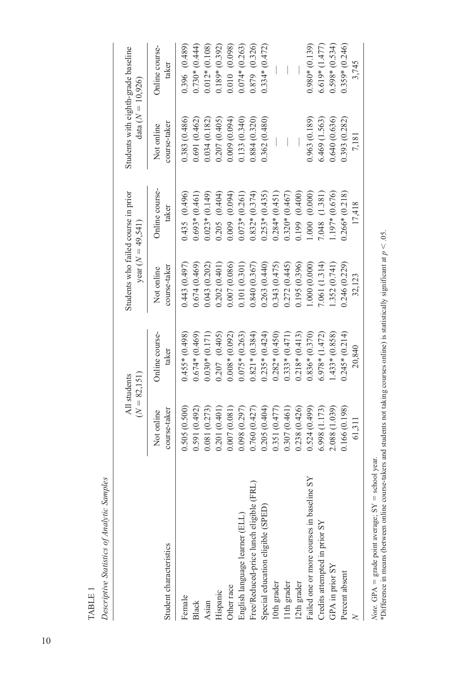TABLE 1 Table 1

Descriptive Statistics of Analytic Samples *Descriptive Statistics of Analytic Samples*

|                                           | $(N = 82, 151)$<br>All students |                        | year $(N = 49, 541)$       | Students who failed course in prior | Students with eighth-grade baseline<br>data ( $N = 10,926$ ) |                         |
|-------------------------------------------|---------------------------------|------------------------|----------------------------|-------------------------------------|--------------------------------------------------------------|-------------------------|
| Student characteristics                   | course-taker<br>Not online      | Online course<br>taker | course-taker<br>Not online | Online course<br>taker              | course-taker<br>Not online                                   | Online course-<br>taker |
| Female                                    | 0.505(0.500)                    | $0.455*(0.498)$        | 0.443(0.497)               | 0.435(0.496)                        | 0.383 (0.486)                                                | 0.396 (0.489)           |
| Black                                     | 0.591(0.492)                    | $0.674*(0.469)$        | 0.674(0.469)               | $0.693*(0.461)$                     | 0.691(0.462)                                                 | $0.730*(0.444)$         |
| Asian                                     | 0.081 (0.273)                   | $0.030*(0.171)$        | 0.043(0.202)               | $0.023*(0.149)$                     | 0.034 (0.182)                                                | $0.012*(0.108)$         |
| Hispanic                                  | 0.201(0.401)                    | $0.207$ $(0.405)$      | 0.202(0.401)               | $0.205$ $(0.404)$                   | 0.207 (0.405)                                                | $0.189*(0.392)$         |
| Other race                                | 0.007(0.081)                    | $0.008*(0.092)$        | 0.007(0.086)               | (0.009 (0.094))                     | 0.009(0.094)                                                 | 0.010 (0.098)           |
| English language learner (ELL)            | 0.098(0.297)                    | $0.075*(0.263)$        | 0.101(0.301)               | $0.073*(0.261)$                     | 0.133 (0.340)                                                | $0.074*(0.263)$         |
| Free/Reduced-price lunch eligible (FRL)   | 0.760(0.427)                    | $0.821*(0.384)$        | 0.840(0.367)               | $0.832*(0.374)$                     | 0.884 (0.320)                                                | 0.879 (0.326)           |
| Special education eligible (SPED)         | 0.205(0.404)                    | $0.235*(0.424)$        | 0.263(0.440)               | $0.253*(0.435)$                     | 0.362(0.480)                                                 | $0.334*(0.472)$         |
| 10th grader                               | 0.351(0.477)                    | $0.282*(0.450)$        | 0.343(0.475)               | $0.284*(0.451)$                     |                                                              |                         |
| 11th grader                               | 0.307(0.461)                    | $0.333*(0.471)$        | 0.272(0.445)               | $0.320*(0.467)$                     |                                                              |                         |
| 12th grader                               | 0.238 (0.426)                   | $0.218*(0.413)$        | 0.195 (0.396)              | 0.199 (0.400)                       |                                                              |                         |
| Failed one or more courses in baseline SY | 0.524(0.499)                    | $0.836*(0.370)$        | 1.000(0.000)               | 1.000(0.000)                        | 0.963(0.189)                                                 | $0.980*(0.139)$         |
| Credits attempted in prior SY             | 6.998 (1.173)                   | $6.978*(1.472)$        | 7.061 (1.314)              | 7.048 (1.381)                       | 6.469(1.563)                                                 | $6.619*(1.477)$         |
| GPA in prior SY                           | 2.088 (1.039)                   | $1.433*(0.858)$        | 1.352 (0.741)              | 1.197* (0.676)                      | 0.640 (0.636)                                                | $0.598*(0.534)$         |
| Percent absent                            | 0.166(0.198)                    | $0.245*(0.214)$        | 0.246(0.229)               | $0.266*(0.218)$                     | 0.393 (0.282)                                                | $0.359*(0.246)$         |
|                                           | 61,311                          | 20,840                 | 32,123                     | 17,418                              | 7,181                                                        | 3,745                   |
|                                           |                                 |                        |                            |                                     |                                                              |                         |

*Note.* GPA = grade point average; SY = school year.<br>\*Difference in means (between online course-takers and students not taking courses online) is statistically significant at  $p < .05$ . \*Difference in means (between online course-takers and students not taking courses online) is statistically significant at *p* < .05.*Note.* GPA = grade point average;  $SY$  = school year.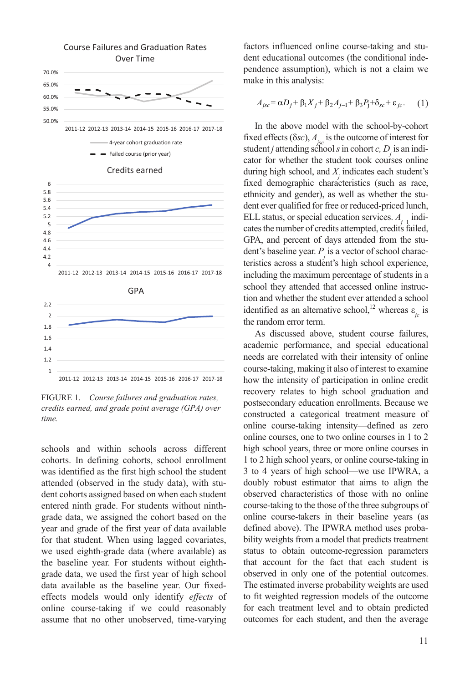

FIGURE 1. *Course failures and graduation rates, credits earned, and grade point average (GPA) over time.*

schools and within schools across different cohorts. In defining cohorts, school enrollment was identified as the first high school the student attended (observed in the study data), with student cohorts assigned based on when each student entered ninth grade. For students without ninthgrade data, we assigned the cohort based on the year and grade of the first year of data available for that student. When using lagged covariates, we used eighth-grade data (where available) as the baseline year. For students without eighthgrade data, we used the first year of high school data available as the baseline year. Our fixedeffects models would only identify *effects* of online course-taking if we could reasonably assume that no other unobserved, time-varying

factors influenced online course-taking and student educational outcomes (the conditional independence assumption), which is not a claim we make in this analysis:

$$
A_{jsc} = \alpha D_j + \beta_1 X_j + \beta_2 A_{j-1} + \beta_3 P_j + \delta_{sc} + \varepsilon_{jc}.
$$
 (1)

In the above model with the school-by-cohort fixed effects  $(\delta sc)$ ,  $A_{1}$  is the outcome of interest for student *j* attending school *s* in cohort *c*,  $D_j$  is an indicator for whether the student took courses online during high school, and *X* indicates each student's *dialing right sensel, and*  $T_j$  *materials calculated statements* ethnicity and gender), as well as whether the student ever qualified for free or reduced-priced lunch, ELL status, or special education services. *A j*−1 indicates the number of credits attempted, credits failed, GPA, and percent of days attended from the student's baseline year. *P j* is a vector of school characteristics across a student's high school experience, including the maximum percentage of students in a school they attended that accessed online instruction and whether the student ever attended a school identified as an alternative school,<sup>12</sup> whereas  $\varepsilon$ <sub>*jc*</sub> is the random error term.

As discussed above, student course failures, academic performance, and special educational needs are correlated with their intensity of online course-taking, making it also of interest to examine how the intensity of participation in online credit recovery relates to high school graduation and postsecondary education enrollments. Because we constructed a categorical treatment measure of online course-taking intensity—defined as zero online courses, one to two online courses in 1 to 2 high school years, three or more online courses in 1 to 2 high school years, or online course-taking in 3 to 4 years of high school—we use IPWRA, a doubly robust estimator that aims to align the observed characteristics of those with no online course-taking to the those of the three subgroups of online course-takers in their baseline years (as defined above). The IPWRA method uses probability weights from a model that predicts treatment status to obtain outcome-regression parameters that account for the fact that each student is observed in only one of the potential outcomes. The estimated inverse probability weights are used to fit weighted regression models of the outcome for each treatment level and to obtain predicted outcomes for each student, and then the average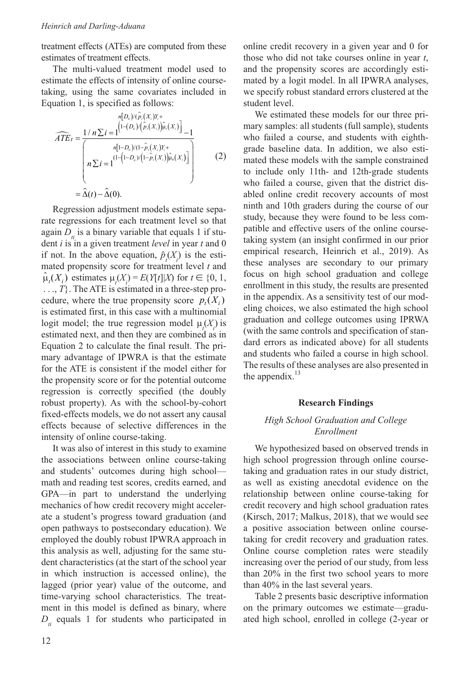treatment effects (ATEs) are computed from these estimates of treatment effects.

The multi-valued treatment model used to estimate the effects of intensity of online coursetaking, using the same covariates included in Equation 1, is specified as follows:

$$
\widehat{ATE}_{t} = \frac{1/n \sum i = 1}^{\lfloor n[D_{n})/(p_{i}(X_{i})Y_{i}^{+}\rfloor} \left[1-(D_{n})/(\hat{P}_{i}(X_{i}))\hat{\mu}_{i}(X_{i})\right] - 1}{n[1-D_{n})/(1-\hat{P}_{i}(X_{i}))\hat{\mu}_{i}(X_{i})]}
$$
\n
$$
n \sum i = 1}^{(1-(1-D_{n})/((1-\hat{P}_{i}(X_{i}))\hat{\mu}_{0}(X_{i}))}
$$
\n
$$
= \hat{\Delta}(t) - \hat{\Delta}(0).
$$
\n(2)

Regression adjustment models estimate separate regressions for each treatment level so that again  $D_{ii}$  is a binary variable that equals 1 if student *i* is in a given treatment *level* in year *t* and 0 if not. In the above equation,  $\hat{p}_i(X_i)$  is the estimated propensity score for treatment level *t* and  $\hat{\mu}_t(X_i)$  estimates  $\mu_t(X_i) = E(Y[t]|X)$  for  $t \in \{0, 1\}$ , . . ., *T*}. The ATE is estimated in a three-step procedure, where the true propensity score  $p_t(X_i)$ is estimated first, in this case with a multinomial logit model; the true regression model  $\mu_i(X_i)$  is estimated next, and then they are combined as in Equation 2 to calculate the final result. The primary advantage of IPWRA is that the estimate for the ATE is consistent if the model either for the propensity score or for the potential outcome regression is correctly specified (the doubly robust property). As with the school-by-cohort fixed-effects models, we do not assert any causal effects because of selective differences in the intensity of online course-taking.

It was also of interest in this study to examine the associations between online course-taking and students' outcomes during high school math and reading test scores, credits earned, and GPA—in part to understand the underlying mechanics of how credit recovery might accelerate a student's progress toward graduation (and open pathways to postsecondary education). We employed the doubly robust IPWRA approach in this analysis as well, adjusting for the same student characteristics (at the start of the school year in which instruction is accessed online), the lagged (prior year) value of the outcome, and time-varying school characteristics. The treatment in this model is defined as binary, where  $D_{ii}$  equals 1 for students who participated in online credit recovery in a given year and 0 for those who did not take courses online in year *t*, and the propensity scores are accordingly estimated by a logit model. In all IPWRA analyses, we specify robust standard errors clustered at the student level.

We estimated these models for our three primary samples: all students (full sample), students who failed a course, and students with eighthgrade baseline data. In addition, we also estimated these models with the sample constrained to include only 11th- and 12th-grade students who failed a course, given that the district disabled online credit recovery accounts of most ninth and 10th graders during the course of our study, because they were found to be less compatible and effective users of the online coursetaking system (an insight confirmed in our prior empirical research, Heinrich et al., 2019). As these analyses are secondary to our primary focus on high school graduation and college enrollment in this study, the results are presented in the appendix. As a sensitivity test of our modeling choices, we also estimated the high school graduation and college outcomes using IPRWA (with the same controls and specification of standard errors as indicated above) for all students and students who failed a course in high school. The results of these analyses are also presented in the appendix.<sup>13</sup>

### **Research Findings**

# *High School Graduation and College Enrollment*

We hypothesized based on observed trends in high school progression through online coursetaking and graduation rates in our study district, as well as existing anecdotal evidence on the relationship between online course-taking for credit recovery and high school graduation rates (Kirsch, 2017; Malkus, 2018), that we would see a positive association between online coursetaking for credit recovery and graduation rates. Online course completion rates were steadily increasing over the period of our study, from less than 20% in the first two school years to more than 40% in the last several years.

Table 2 presents basic descriptive information on the primary outcomes we estimate—graduated high school, enrolled in college (2-year or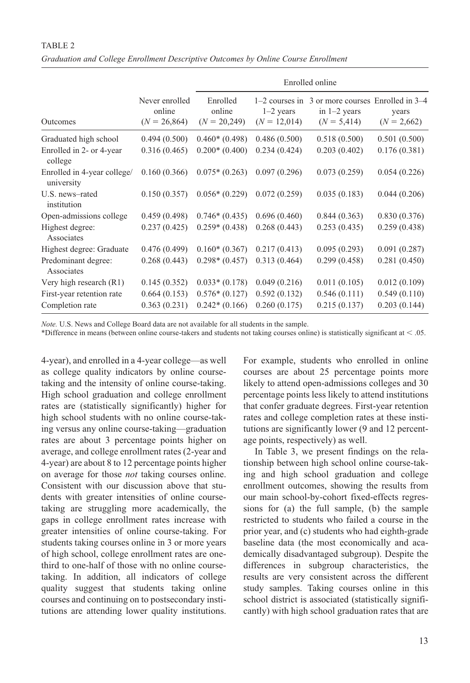### TABLE 2

| Graduation and College Enrollment Descriptive Outcomes by Online Course Enrollment |  |  |  |  |
|------------------------------------------------------------------------------------|--|--|--|--|
|                                                                                    |  |  |  |  |

|                                           |                                            |                                      | Enrolled online               |                                                                                         |                        |  |  |
|-------------------------------------------|--------------------------------------------|--------------------------------------|-------------------------------|-----------------------------------------------------------------------------------------|------------------------|--|--|
| Outcomes                                  | Never enrolled<br>online<br>$(N = 26,864)$ | Enrolled<br>online<br>$(N = 20,249)$ | $1-2$ years<br>$(N = 12,014)$ | $1-2$ courses in 3 or more courses Enrolled in $3-4$<br>in $1-2$ years<br>$(N = 5,414)$ | years<br>$(N = 2,662)$ |  |  |
| Graduated high school                     | 0.494(0.500)                               | $0.460*(0.498)$                      | 0.486(0.500)                  | 0.518(0.500)                                                                            | 0.501(0.500)           |  |  |
| Enrolled in 2- or 4-year<br>college       | 0.316(0.465)                               | $0.200*(0.400)$                      | 0.234(0.424)                  | 0.203(0.402)                                                                            | 0.176(0.381)           |  |  |
| Enrolled in 4-year college/<br>university | 0.160(0.366)                               | $0.075*(0.263)$                      | 0.097(0.296)                  | 0.073(0.259)                                                                            | 0.054(0.226)           |  |  |
| U.S. news-rated<br>institution            | 0.150(0.357)                               | $0.056*(0.229)$                      | 0.072(0.259)                  | 0.035(0.183)                                                                            | 0.044(0.206)           |  |  |
| Open-admissions college                   | 0.459(0.498)                               | $0.746*(0.435)$                      | 0.696(0.460)                  | 0.844(0.363)                                                                            | 0.830(0.376)           |  |  |
| Highest degree:<br>Associates             | 0.237(0.425)                               | $0.259*(0.438)$                      | 0.268(0.443)                  | 0.253(0.435)                                                                            | 0.259(0.438)           |  |  |
| Highest degree: Graduate                  | 0.476(0.499)                               | $0.160*(0.367)$                      | 0.217(0.413)                  | 0.095(0.293)                                                                            | 0.091(0.287)           |  |  |
| Predominant degree:<br>Associates         | 0.268(0.443)                               | $0.298*(0.457)$                      | 0.313(0.464)                  | 0.299(0.458)                                                                            | 0.281(0.450)           |  |  |
| Very high research (R1)                   | 0.145(0.352)                               | $0.033*(0.178)$                      | 0.049(0.216)                  | 0.011(0.105)                                                                            | 0.012(0.109)           |  |  |
| First-year retention rate                 | 0.664(0.153)                               | $0.576*(0.127)$                      | 0.592(0.132)                  | 0.546(0.111)                                                                            | 0.549(0.110)           |  |  |
| Completion rate                           | 0.363(0.231)                               | $0.242*(0.166)$                      | 0.260(0.175)                  | 0.215(0.137)                                                                            | 0.203(0.144)           |  |  |

*Note.* U.S. News and College Board data are not available for all students in the sample.

\*Difference in means (between online course-takers and students not taking courses online) is statistically significant at < .05.

4-year), and enrolled in a 4-year college—as well as college quality indicators by online coursetaking and the intensity of online course-taking. High school graduation and college enrollment rates are (statistically significantly) higher for high school students with no online course-taking versus any online course-taking—graduation rates are about 3 percentage points higher on average, and college enrollment rates (2-year and 4-year) are about 8 to 12 percentage points higher on average for those *not* taking courses online. Consistent with our discussion above that students with greater intensities of online coursetaking are struggling more academically, the gaps in college enrollment rates increase with greater intensities of online course-taking. For students taking courses online in 3 or more years of high school, college enrollment rates are onethird to one-half of those with no online coursetaking. In addition, all indicators of college quality suggest that students taking online courses and continuing on to postsecondary institutions are attending lower quality institutions. For example, students who enrolled in online courses are about 25 percentage points more likely to attend open-admissions colleges and 30 percentage points less likely to attend institutions that confer graduate degrees. First-year retention rates and college completion rates at these institutions are significantly lower (9 and 12 percentage points, respectively) as well.

In Table 3, we present findings on the relationship between high school online course-taking and high school graduation and college enrollment outcomes, showing the results from our main school-by-cohort fixed-effects regressions for (a) the full sample, (b) the sample restricted to students who failed a course in the prior year, and (c) students who had eighth-grade baseline data (the most economically and academically disadvantaged subgroup). Despite the differences in subgroup characteristics, the results are very consistent across the different study samples. Taking courses online in this school district is associated (statistically significantly) with high school graduation rates that are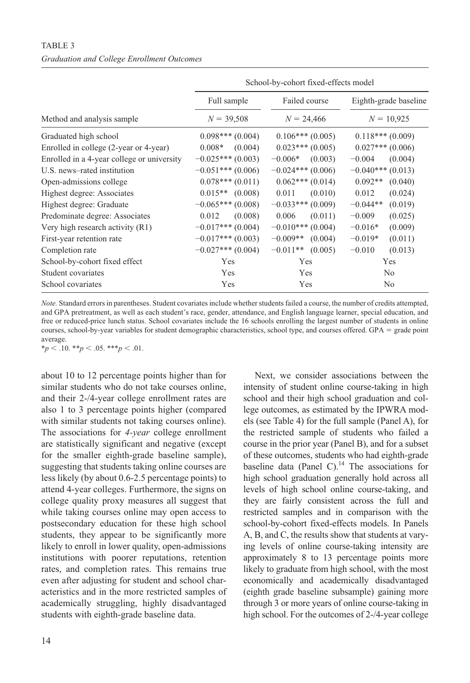| School-by-cohort fixed-effects model |                       |                                       |  |  |  |
|--------------------------------------|-----------------------|---------------------------------------|--|--|--|
| Full sample                          | Failed course         | Eighth-grade baseline<br>$N = 10,925$ |  |  |  |
| $N = 39,508$                         | $N = 24,466$          |                                       |  |  |  |
| $0.098***$ (0.004)                   | $0.106***(0.005)$     | $0.118***(0.009)$                     |  |  |  |
| $0.008*$<br>(0.004)                  | $0.023***(0.005)$     | $0.027$ *** $(0.006)$                 |  |  |  |
| $-0.025***(0.003)$                   | $-0.006*$<br>(0.003)  | (0.004)<br>$-0.004$                   |  |  |  |
| $-0.051***(0.006)$                   | $-0.024***(0.006)$    | $-0.040***(0.013)$                    |  |  |  |
| $0.078***(0.011)$                    | $0.062***(0.014)$     | $0.092**$<br>(0.040)                  |  |  |  |
| $0.015**$ (0.008)                    | 0.011<br>(0.010)      | 0.012<br>(0.024)                      |  |  |  |
| $-0.065***(0.008)$                   | $-0.033***(0.009)$    | $-0.044**$<br>(0.019)                 |  |  |  |
| 0.012<br>(0.008)                     | 0.006<br>(0.011)      | (0.025)<br>$-0.009$                   |  |  |  |
| $-0.017***$ (0.004)                  | $-0.010***(0.004)$    | (0.009)<br>$-0.016*$                  |  |  |  |
| $-0.017***(0.003)$                   | $-0.009**$<br>(0.004) | $-0.019*$<br>(0.011)                  |  |  |  |
| $-0.027***(0.004)$                   | $-0.011**$<br>(0.005) | $-0.010$<br>(0.013)                   |  |  |  |
| Yes                                  | Yes                   | Yes                                   |  |  |  |
| Yes                                  | Yes                   | N <sub>0</sub>                        |  |  |  |
| Yes                                  | Yes                   | N <sub>0</sub>                        |  |  |  |
|                                      |                       |                                       |  |  |  |

*Note.* Standard errors in parentheses. Student covariates include whether students failed a course, the number of credits attempted, and GPA pretreatment, as well as each student's race, gender, attendance, and English language learner, special education, and free or reduced-price lunch status. School covariates include the 16 schools enrolling the largest number of students in online courses, school-by-year variables for student demographic characteristics, school type, and courses offered. GPA = grade point average.

 $**p* < .10.$   $**p* < .05.$   $**p* < .01.$ 

about 10 to 12 percentage points higher than for similar students who do not take courses online, and their 2-/4-year college enrollment rates are also 1 to 3 percentage points higher (compared with similar students not taking courses online). The associations for *4-year* college enrollment are statistically significant and negative (except for the smaller eighth-grade baseline sample), suggesting that students taking online courses are less likely (by about 0.6-2.5 percentage points) to attend 4-year colleges. Furthermore, the signs on college quality proxy measures all suggest that while taking courses online may open access to postsecondary education for these high school students, they appear to be significantly more likely to enroll in lower quality, open-admissions institutions with poorer reputations, retention rates, and completion rates. This remains true even after adjusting for student and school characteristics and in the more restricted samples of academically struggling, highly disadvantaged students with eighth-grade baseline data.

Next, we consider associations between the intensity of student online course-taking in high school and their high school graduation and college outcomes, as estimated by the IPWRA models (see Table 4) for the full sample (Panel A), for the restricted sample of students who failed a course in the prior year (Panel B), and for a subset of these outcomes, students who had eighth-grade baseline data (Panel C). $^{14}$  The associations for high school graduation generally hold across all levels of high school online course-taking, and they are fairly consistent across the full and restricted samples and in comparison with the school-by-cohort fixed-effects models. In Panels A, B, and C, the results show that students at varying levels of online course-taking intensity are approximately 8 to 13 percentage points more likely to graduate from high school, with the most economically and academically disadvantaged (eighth grade baseline subsample) gaining more through 3 or more years of online course-taking in high school. For the outcomes of 2-/4-year college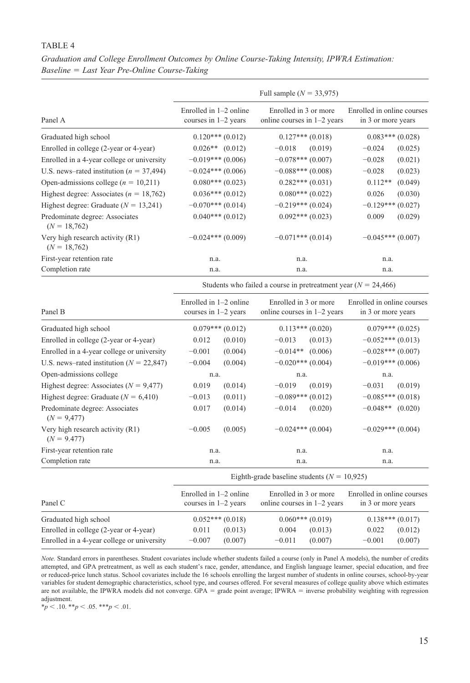## TABLE<sub>4</sub>

*Graduation and College Enrollment Outcomes by Online Course-Taking Intensity, IPWRA Estimation: Baseline* = *Last Year Pre-Online Course-Taking*

|                                                    |                                                    |                     | Full sample $(N = 33,975)$                                         |         |                                                  |         |
|----------------------------------------------------|----------------------------------------------------|---------------------|--------------------------------------------------------------------|---------|--------------------------------------------------|---------|
| Panel A                                            | Enrolled in $1-2$ online<br>courses in $1-2$ years |                     | Enrolled in 3 or more<br>online courses in $1-2$ years             |         | Enrolled in online courses<br>in 3 or more years |         |
| Graduated high school                              |                                                    | $0.120***(0.012)$   | $0.127***$ $(0.018)$                                               |         | $0.083***(0.028)$                                |         |
| Enrolled in college (2-year or 4-year)             |                                                    | $0.026**$ (0.012)   | $-0.018$                                                           | (0.019) | $-0.024$                                         | (0.025) |
| Enrolled in a 4-year college or university         |                                                    | $-0.019***$ (0.006) | $-0.078***$ (0.007)                                                |         | $-0.028$                                         | (0.021) |
| U.S. news-rated institution ( $n = 37,494$ )       |                                                    | $-0.024***(0.006)$  | $-0.088***(0.008)$                                                 |         | $-0.028$                                         | (0.023) |
| Open-admissions college ( $n = 10,211$ )           |                                                    | $0.080***(0.023)$   | $0.282***(0.031)$                                                  |         | $0.112**$                                        | (0.049) |
| Highest degree: Associates ( $n = 18,762$ )        |                                                    | $0.036***(0.012)$   | $0.080***$ (0.022)                                                 |         | 0.026                                            | (0.030) |
| Highest degree: Graduate ( $N = 13,241$ )          |                                                    | $-0.070***$ (0.014) | $-0.219***$ (0.024)                                                |         | $-0.129***$                                      | (0.027) |
| Predominate degree: Associates<br>$(N = 18,762)$   |                                                    | $0.040***(0.012)$   | $0.092***(0.023)$                                                  |         | 0.009                                            | (0.029) |
| Very high research activity (R1)<br>$(N = 18,762)$ |                                                    | $-0.024***(0.009)$  | $-0.071***$ (0.014)                                                |         | $-0.045***(0.007)$                               |         |
| First-year retention rate                          | n.a.                                               |                     | n.a.                                                               |         | n.a.                                             |         |
| Completion rate                                    | n.a.                                               |                     | n.a.                                                               |         | n.a.                                             |         |
|                                                    |                                                    |                     | Students who failed a course in pretreatment year ( $N = 24,466$ ) |         |                                                  |         |
| Panel B                                            | Enrolled in $1-2$ online<br>courses in 1-2 years   |                     | Enrolled in 3 or more<br>online courses in $1-2$ years             |         | Enrolled in online courses<br>in 3 or more years |         |
| Graduated high school                              | $0.079***(0.012)$                                  |                     | $0.113***(0.020)$                                                  |         | $0.079***(0.025)$                                |         |
| Enrolled in college (2-year or 4-year)             | 0.012<br>(0.010)                                   |                     | $-0.013$                                                           | (0.013) | $-0.052***(0.013)$                               |         |
| Enrolled in a 4-year college or university         | $-0.001$                                           | (0.004)             | $-0.014**$                                                         | (0.006) | $-0.028***$ (0.007)                              |         |
| U.S. news–rated institution ( $N = 22,847$ )       | $-0.004$                                           | (0.004)             | $-0.020***$ (0.004)                                                |         | $-0.019***$ (0.006)                              |         |
| Open-admissions college                            | n.a.                                               |                     | n.a.                                                               |         | n.a.                                             |         |
| Highest degree: Associates ( $N = 9,477$ )         | 0.019                                              | (0.014)             | $-0.019$                                                           | (0.019) | $-0.031$                                         | (0.019) |
| Highest degree: Graduate ( $N = 6,410$ )           | $-0.013$                                           | (0.011)             | $-0.089***$ (0.012)                                                |         | $-0.085***(0.018)$                               |         |
| Predominate degree: Associates<br>$(N = 9,477)$    | 0.017                                              | (0.014)             | $-0.014$                                                           | (0.020) | $-0.048**$ (0.020)                               |         |
| Very high research activity (R1)<br>$(N = 9.477)$  | $-0.005$                                           | (0.005)             | $-0.024***$ (0.004)                                                |         | $-0.029***$ (0.004)                              |         |
| First-year retention rate                          | n.a.                                               |                     | n.a.                                                               |         | n.a.                                             |         |
| Completion rate                                    | n.a.                                               |                     | n.a.                                                               |         | n.a.                                             |         |
|                                                    |                                                    |                     | Eighth-grade baseline students ( $N = 10,925$ )                    |         |                                                  |         |
| Panel C                                            | Enrolled in $1-2$ online<br>courses in $1-2$ years |                     | Enrolled in 3 or more<br>online courses in $1-2$ years             |         | Enrolled in online courses<br>in 3 or more years |         |
| Graduated high school                              |                                                    | $0.052***(0.018)$   |                                                                    |         | $0.138***(0.017)$                                |         |
| Enrolled in college (2-year or 4-year)             | 0.011                                              | (0.013)             | $0.060***(0.019)$<br>0.004<br>(0.013)                              |         | 0.022                                            | (0.012) |
| Enrolled in a 4-year college or university         | $-0.007$                                           | (0.007)             | $-0.011$                                                           | (0.007) | $-0.001$                                         | (0.007) |

*Note.* Standard errors in parentheses. Student covariates include whether students failed a course (only in Panel A models), the number of credits attempted, and GPA pretreatment, as well as each student's race, gender, attendance, and English language learner, special education, and free or reduced-price lunch status. School covariates include the 16 schools enrolling the largest number of students in online courses, school-by-year variables for student demographic characteristics, school type, and courses offered. For several measures of college quality above which estimates are not available, the IPWRA models did not converge. GPA = grade point average; IPWRA = inverse probability weighting with regression adjustment.

 $*_{p}$  < .10.  $*_{p}$  < .05.  $*_{p}$  < .01.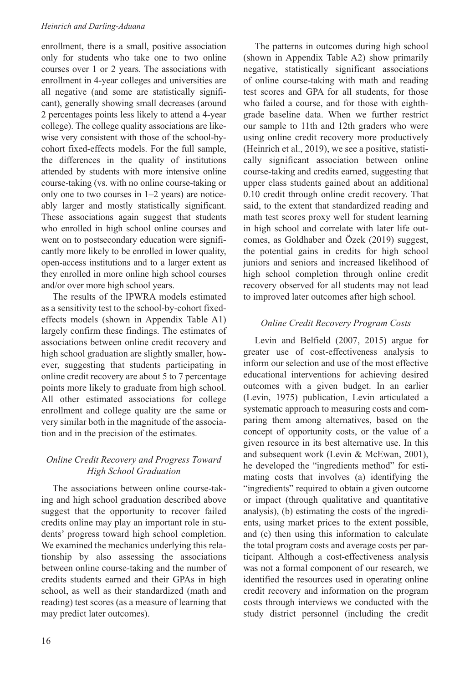enrollment, there is a small, positive association only for students who take one to two online courses over 1 or 2 years. The associations with enrollment in 4-year colleges and universities are all negative (and some are statistically significant), generally showing small decreases (around 2 percentages points less likely to attend a 4-year college). The college quality associations are likewise very consistent with those of the school-bycohort fixed-effects models. For the full sample, the differences in the quality of institutions attended by students with more intensive online course-taking (vs. with no online course-taking or only one to two courses in 1–2 years) are noticeably larger and mostly statistically significant. These associations again suggest that students who enrolled in high school online courses and went on to postsecondary education were significantly more likely to be enrolled in lower quality, open-access institutions and to a larger extent as they enrolled in more online high school courses and/or over more high school years.

The results of the IPWRA models estimated as a sensitivity test to the school-by-cohort fixedeffects models (shown in Appendix Table A1) largely confirm these findings. The estimates of associations between online credit recovery and high school graduation are slightly smaller, however, suggesting that students participating in online credit recovery are about 5 to 7 percentage points more likely to graduate from high school. All other estimated associations for college enrollment and college quality are the same or very similar both in the magnitude of the association and in the precision of the estimates.

# *Online Credit Recovery and Progress Toward High School Graduation*

The associations between online course-taking and high school graduation described above suggest that the opportunity to recover failed credits online may play an important role in students' progress toward high school completion. We examined the mechanics underlying this relationship by also assessing the associations between online course-taking and the number of credits students earned and their GPAs in high school, as well as their standardized (math and reading) test scores (as a measure of learning that may predict later outcomes).

The patterns in outcomes during high school (shown in Appendix Table A2) show primarily negative, statistically significant associations of online course-taking with math and reading test scores and GPA for all students, for those who failed a course, and for those with eighthgrade baseline data. When we further restrict our sample to 11th and 12th graders who were using online credit recovery more productively (Heinrich et al., 2019), we see a positive, statistically significant association between online course-taking and credits earned, suggesting that upper class students gained about an additional 0.10 credit through online credit recovery. That said, to the extent that standardized reading and math test scores proxy well for student learning in high school and correlate with later life outcomes, as Goldhaber and Özek (2019) suggest, the potential gains in credits for high school juniors and seniors and increased likelihood of high school completion through online credit recovery observed for all students may not lead to improved later outcomes after high school.

# *Online Credit Recovery Program Costs*

Levin and Belfield (2007, 2015) argue for greater use of cost-effectiveness analysis to inform our selection and use of the most effective educational interventions for achieving desired outcomes with a given budget. In an earlier (Levin, 1975) publication, Levin articulated a systematic approach to measuring costs and comparing them among alternatives, based on the concept of opportunity costs, or the value of a given resource in its best alternative use. In this and subsequent work (Levin & McEwan, 2001), he developed the "ingredients method" for estimating costs that involves (a) identifying the "ingredients" required to obtain a given outcome or impact (through qualitative and quantitative analysis), (b) estimating the costs of the ingredients, using market prices to the extent possible, and (c) then using this information to calculate the total program costs and average costs per participant. Although a cost-effectiveness analysis was not a formal component of our research, we identified the resources used in operating online credit recovery and information on the program costs through interviews we conducted with the study district personnel (including the credit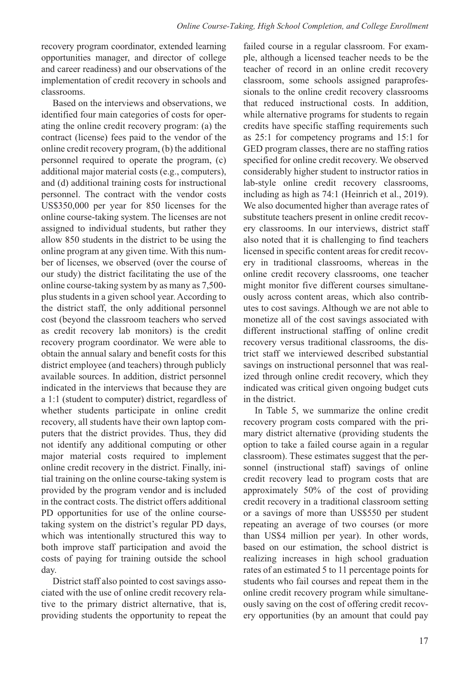recovery program coordinator, extended learning opportunities manager, and director of college and career readiness) and our observations of the implementation of credit recovery in schools and classrooms.

Based on the interviews and observations, we identified four main categories of costs for operating the online credit recovery program: (a) the contract (license) fees paid to the vendor of the online credit recovery program, (b) the additional personnel required to operate the program, (c) additional major material costs (e.g., computers), and (d) additional training costs for instructional personnel. The contract with the vendor costs US\$350,000 per year for 850 licenses for the online course-taking system. The licenses are not assigned to individual students, but rather they allow 850 students in the district to be using the online program at any given time. With this number of licenses, we observed (over the course of our study) the district facilitating the use of the online course-taking system by as many as 7,500 plus students in a given school year. According to the district staff, the only additional personnel cost (beyond the classroom teachers who served as credit recovery lab monitors) is the credit recovery program coordinator. We were able to obtain the annual salary and benefit costs for this district employee (and teachers) through publicly available sources. In addition, district personnel indicated in the interviews that because they are a 1:1 (student to computer) district, regardless of whether students participate in online credit recovery, all students have their own laptop computers that the district provides. Thus, they did not identify any additional computing or other major material costs required to implement online credit recovery in the district. Finally, initial training on the online course-taking system is provided by the program vendor and is included in the contract costs. The district offers additional PD opportunities for use of the online coursetaking system on the district's regular PD days, which was intentionally structured this way to both improve staff participation and avoid the costs of paying for training outside the school day.

District staff also pointed to cost savings associated with the use of online credit recovery relative to the primary district alternative, that is, providing students the opportunity to repeat the

failed course in a regular classroom. For example, although a licensed teacher needs to be the teacher of record in an online credit recovery classroom, some schools assigned paraprofessionals to the online credit recovery classrooms that reduced instructional costs. In addition, while alternative programs for students to regain credits have specific staffing requirements such as 25:1 for competency programs and 15:1 for GED program classes, there are no staffing ratios specified for online credit recovery. We observed considerably higher student to instructor ratios in lab-style online credit recovery classrooms, including as high as 74:1 (Heinrich et al., 2019). We also documented higher than average rates of substitute teachers present in online credit recovery classrooms. In our interviews, district staff also noted that it is challenging to find teachers licensed in specific content areas for credit recovery in traditional classrooms, whereas in the online credit recovery classrooms, one teacher might monitor five different courses simultaneously across content areas, which also contributes to cost savings. Although we are not able to monetize all of the cost savings associated with different instructional staffing of online credit recovery versus traditional classrooms, the district staff we interviewed described substantial savings on instructional personnel that was realized through online credit recovery, which they indicated was critical given ongoing budget cuts in the district.

In Table 5, we summarize the online credit recovery program costs compared with the primary district alternative (providing students the option to take a failed course again in a regular classroom). These estimates suggest that the personnel (instructional staff) savings of online credit recovery lead to program costs that are approximately 50% of the cost of providing credit recovery in a traditional classroom setting or a savings of more than US\$550 per student repeating an average of two courses (or more than US\$4 million per year). In other words, based on our estimation, the school district is realizing increases in high school graduation rates of an estimated 5 to 11 percentage points for students who fail courses and repeat them in the online credit recovery program while simultaneously saving on the cost of offering credit recovery opportunities (by an amount that could pay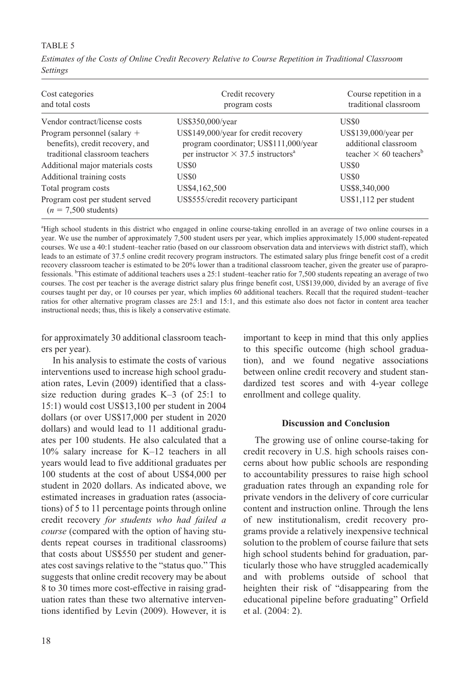# TABLE 5

| Cost categories<br>and total costs                                                                 | Credit recovery<br>program costs                                                                                                       | Course repetition in a<br>traditional classroom                                            |
|----------------------------------------------------------------------------------------------------|----------------------------------------------------------------------------------------------------------------------------------------|--------------------------------------------------------------------------------------------|
| Vendor contract/license costs                                                                      | US\$350,000/year                                                                                                                       | <b>US\$0</b>                                                                               |
| Program personnel (salary $+$<br>benefits), credit recovery, and<br>traditional classroom teachers | US\$149,000/year for credit recovery<br>program coordinator; US\$111,000/year<br>per instructor $\times$ 37.5 instructors <sup>a</sup> | $US$139,000/year$ per<br>additional classroom<br>teacher $\times$ 60 teachers <sup>b</sup> |
| Additional major materials costs                                                                   | US\$0                                                                                                                                  | <b>US\$0</b>                                                                               |
| Additional training costs                                                                          | US\$0                                                                                                                                  | <b>US\$0</b>                                                                               |
| Total program costs                                                                                | US\$4,162,500                                                                                                                          | US\$8,340,000                                                                              |
| Program cost per student served<br>$(n = 7,500$ students)                                          | US\$555/credit recovery participant                                                                                                    | US\$1,112 per student                                                                      |

*Estimates of the Costs of Online Credit Recovery Relative to Course Repetition in Traditional Classroom Settings*

a High school students in this district who engaged in online course-taking enrolled in an average of two online courses in a year. We use the number of approximately 7,500 student users per year, which implies approximately 15,000 student-repeated courses. We use a 40:1 student–teacher ratio (based on our classroom observation data and interviews with district staff), which leads to an estimate of 37.5 online credit recovery program instructors. The estimated salary plus fringe benefit cost of a credit recovery classroom teacher is estimated to be 20% lower than a traditional classroom teacher, given the greater use of paraprofessionals. <sup>b</sup>This estimate of additional teachers uses a 25:1 student–teacher ratio for 7,500 students repeating an average of two courses. The cost per teacher is the average district salary plus fringe benefit cost, US\$139,000, divided by an average of five courses taught per day, or 10 courses per year, which implies 60 additional teachers. Recall that the required student–teacher ratios for other alternative program classes are 25:1 and 15:1, and this estimate also does not factor in content area teacher instructional needs; thus, this is likely a conservative estimate.

for approximately 30 additional classroom teachers per year).

In his analysis to estimate the costs of various interventions used to increase high school graduation rates, Levin (2009) identified that a classsize reduction during grades K–3 (of 25:1 to 15:1) would cost US\$13,100 per student in 2004 dollars (or over US\$17,000 per student in 2020 dollars) and would lead to 11 additional graduates per 100 students. He also calculated that a 10% salary increase for K–12 teachers in all years would lead to five additional graduates per 100 students at the cost of about US\$4,000 per student in 2020 dollars. As indicated above, we estimated increases in graduation rates (associations) of 5 to 11 percentage points through online credit recovery *for students who had failed a course* (compared with the option of having students repeat courses in traditional classrooms) that costs about US\$550 per student and generates cost savings relative to the "status quo." This suggests that online credit recovery may be about 8 to 30 times more cost-effective in raising graduation rates than these two alternative interventions identified by Levin (2009). However, it is important to keep in mind that this only applies to this specific outcome (high school graduation), and we found negative associations between online credit recovery and student standardized test scores and with 4-year college enrollment and college quality.

### **Discussion and Conclusion**

The growing use of online course-taking for credit recovery in U.S. high schools raises concerns about how public schools are responding to accountability pressures to raise high school graduation rates through an expanding role for private vendors in the delivery of core curricular content and instruction online. Through the lens of new institutionalism, credit recovery programs provide a relatively inexpensive technical solution to the problem of course failure that sets high school students behind for graduation, particularly those who have struggled academically and with problems outside of school that heighten their risk of "disappearing from the educational pipeline before graduating" Orfield et al. (2004: 2).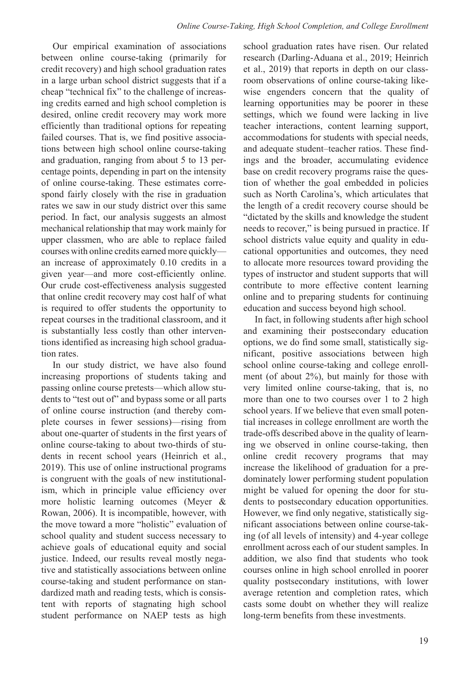Our empirical examination of associations between online course-taking (primarily for credit recovery) and high school graduation rates in a large urban school district suggests that if a cheap "technical fix" to the challenge of increasing credits earned and high school completion is desired, online credit recovery may work more efficiently than traditional options for repeating failed courses. That is, we find positive associations between high school online course-taking and graduation, ranging from about 5 to 13 percentage points, depending in part on the intensity of online course-taking. These estimates correspond fairly closely with the rise in graduation rates we saw in our study district over this same period. In fact, our analysis suggests an almost mechanical relationship that may work mainly for upper classmen, who are able to replace failed courses with online credits earned more quickly an increase of approximately 0.10 credits in a given year—and more cost-efficiently online. Our crude cost-effectiveness analysis suggested that online credit recovery may cost half of what is required to offer students the opportunity to repeat courses in the traditional classroom, and it is substantially less costly than other interventions identified as increasing high school graduation rates.

In our study district, we have also found increasing proportions of students taking and passing online course pretests—which allow students to "test out of" and bypass some or all parts of online course instruction (and thereby complete courses in fewer sessions)—rising from about one-quarter of students in the first years of online course-taking to about two-thirds of students in recent school years (Heinrich et al., 2019). This use of online instructional programs is congruent with the goals of new institutionalism, which in principle value efficiency over more holistic learning outcomes (Meyer & Rowan, 2006). It is incompatible, however, with the move toward a more "holistic" evaluation of school quality and student success necessary to achieve goals of educational equity and social justice. Indeed, our results reveal mostly negative and statistically associations between online course-taking and student performance on standardized math and reading tests, which is consistent with reports of stagnating high school student performance on NAEP tests as high

school graduation rates have risen. Our related research (Darling-Aduana et al., 2019; Heinrich et al., 2019) that reports in depth on our classroom observations of online course-taking likewise engenders concern that the quality of learning opportunities may be poorer in these settings, which we found were lacking in live teacher interactions, content learning support, accommodations for students with special needs, and adequate student–teacher ratios. These findings and the broader, accumulating evidence base on credit recovery programs raise the question of whether the goal embedded in policies such as North Carolina's, which articulates that the length of a credit recovery course should be "dictated by the skills and knowledge the student needs to recover," is being pursued in practice. If school districts value equity and quality in educational opportunities and outcomes, they need to allocate more resources toward providing the types of instructor and student supports that will contribute to more effective content learning online and to preparing students for continuing education and success beyond high school.

In fact, in following students after high school and examining their postsecondary education options, we do find some small, statistically significant, positive associations between high school online course-taking and college enrollment (of about 2%), but mainly for those with very limited online course-taking, that is, no more than one to two courses over 1 to 2 high school years. If we believe that even small potential increases in college enrollment are worth the trade-offs described above in the quality of learning we observed in online course-taking, then online credit recovery programs that may increase the likelihood of graduation for a predominately lower performing student population might be valued for opening the door for students to postsecondary education opportunities. However, we find only negative, statistically significant associations between online course-taking (of all levels of intensity) and 4-year college enrollment across each of our student samples. In addition, we also find that students who took courses online in high school enrolled in poorer quality postsecondary institutions, with lower average retention and completion rates, which casts some doubt on whether they will realize long-term benefits from these investments.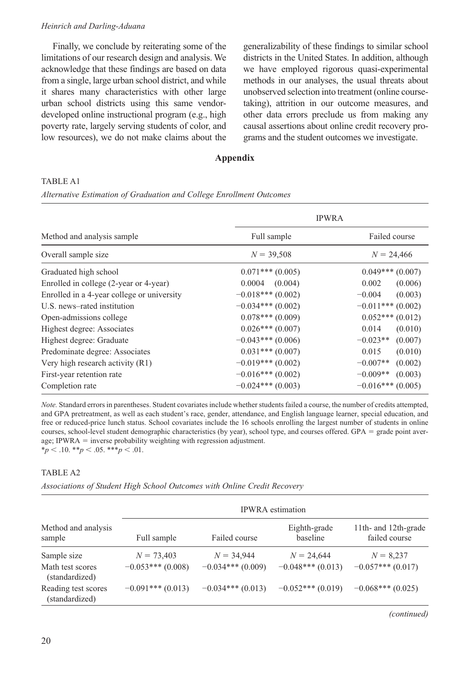Finally, we conclude by reiterating some of the limitations of our research design and analysis. We acknowledge that these findings are based on data from a single, large urban school district, and while it shares many characteristics with other large urban school districts using this same vendordeveloped online instructional program (e.g., high poverty rate, largely serving students of color, and low resources), we do not make claims about the

generalizability of these findings to similar school districts in the United States. In addition, although we have employed rigorous quasi-experimental methods in our analyses, the usual threats about unobserved selection into treatment (online coursetaking), attrition in our outcome measures, and other data errors preclude us from making any causal assertions about online credit recovery programs and the student outcomes we investigate.

# **Appendix**

### Table A1

*Alternative Estimation of Graduation and College Enrollment Outcomes*

|                                            | <b>IPWRA</b>       |                       |  |  |
|--------------------------------------------|--------------------|-----------------------|--|--|
| Method and analysis sample                 | Full sample        | Failed course         |  |  |
| Overall sample size                        | $N = 39,508$       | $N = 24,466$          |  |  |
| Graduated high school                      | $0.071***(0.005)$  | $0.049***(0.007)$     |  |  |
| Enrolled in college (2-year or 4-year)     | 0.0004<br>(0.004)  | 0.002<br>(0.006)      |  |  |
| Enrolled in a 4-year college or university | $-0.018***(0.002)$ | $-0.004$<br>(0.003)   |  |  |
| U.S. news-rated institution                | $-0.034***(0.002)$ | $-0.011***(0.002)$    |  |  |
| Open-admissions college                    | $0.078***(0.009)$  | $0.052***(0.012)$     |  |  |
| Highest degree: Associates                 | $0.026***(0.007)$  | 0.014<br>(0.010)      |  |  |
| Highest degree: Graduate                   | $-0.043***(0.006)$ | $-0.023**$<br>(0.007) |  |  |
| Predominate degree: Associates             | $0.031***(0.007)$  | 0.015<br>(0.010)      |  |  |
| Very high research activity (R1)           | $-0.019***(0.002)$ | $-0.007**$<br>(0.002) |  |  |
| First-year retention rate                  | $-0.016***(0.002)$ | $-0.009**$<br>(0.003) |  |  |
| Completion rate                            | $-0.024***(0.003)$ | $-0.016***(0.005)$    |  |  |

*Note.* Standard errors in parentheses. Student covariates include whether students failed a course, the number of credits attempted, and GPA pretreatment, as well as each student's race, gender, attendance, and English language learner, special education, and free or reduced-price lunch status. School covariates include the 16 schools enrolling the largest number of students in online courses, school-level student demographic characteristics (by year), school type, and courses offered. GPA = grade point average; IPWRA = inverse probability weighting with regression adjustment. \**p* < .10. \*\**p* < .05. \*\*\**p* < .01.

### TABLE A2

*Associations of Student High School Outcomes with Online Credit Recovery*

|                                       | <b>IPWRA</b> estimation |                     |                          |                                       |  |  |
|---------------------------------------|-------------------------|---------------------|--------------------------|---------------------------------------|--|--|
| Method and analysis<br>sample         | Full sample             | Failed course       | Eighth-grade<br>baseline | 11th- and 12th-grade<br>failed course |  |  |
| Sample size                           | $N = 73,403$            | $N = 34,944$        | $N = 24,644$             | $N = 8,237$                           |  |  |
| Math test scores<br>(standardized)    | $-0.053***(0.008)$      | $-0.034***(0.009)$  | $-0.048***(0.013)$       | $-0.057***(0.017)$                    |  |  |
| Reading test scores<br>(standardized) | $-0.091***(0.013)$      | $-0.034***$ (0.013) | $-0.052***(0.019)$       | $-0.068***(0.025)$                    |  |  |

*(continued)*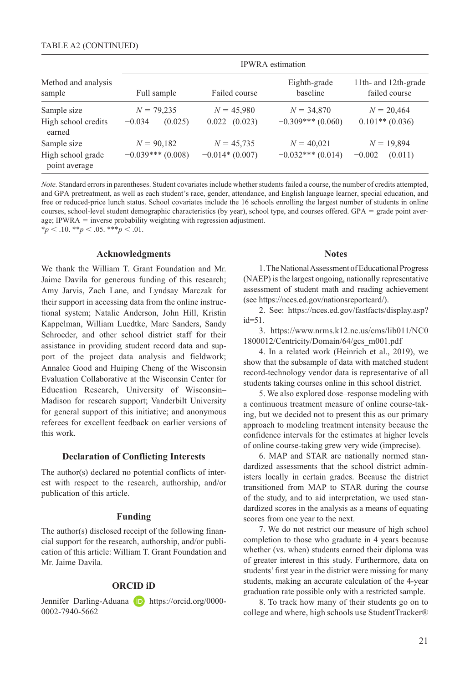|                                    | <b>IPWRA</b> estimation |                   |                          |                                       |  |  |  |
|------------------------------------|-------------------------|-------------------|--------------------------|---------------------------------------|--|--|--|
| Method and analysis<br>sample      | Full sample             | Failed course     | Eighth-grade<br>baseline | 11th- and 12th-grade<br>failed course |  |  |  |
| Sample size                        | $N = 79,235$            | $N = 45,980$      | $N = 34,870$             | $N = 20,464$                          |  |  |  |
| High school credits<br>earned      | $-0.034$<br>(0.025)     | $0.022$ $(0.023)$ | $-0.309***(0.060)$       | $0.101**$ (0.036)                     |  |  |  |
| Sample size                        | $N = 90,182$            | $N = 45,735$      | $N = 40.021$             | $N = 19,894$                          |  |  |  |
| High school grade<br>point average | $-0.039***$ (0.008)     | $-0.014*(0.007)$  | $-0.032***(0.014)$       | $-0.002$<br>(0.011)                   |  |  |  |

*Note.* Standard errors in parentheses. Student covariates include whether students failed a course, the number of credits attempted, and GPA pretreatment, as well as each student's race, gender, attendance, and English language learner, special education, and free or reduced-price lunch status. School covariates include the 16 schools enrolling the largest number of students in online courses, school-level student demographic characteristics (by year), school type, and courses offered. GPA = grade point average; IPWRA = inverse probability weighting with regression adjustment.  $**p* < .10.$   $**p* < .05.$   $**p* < .01.$ 

#### **Acknowledgments**

We thank the William T. Grant Foundation and Mr. Jaime Davila for generous funding of this research; Amy Jarvis, Zach Lane, and Lyndsay Marczak for their support in accessing data from the online instructional system; Natalie Anderson, John Hill, Kristin Kappelman, William Luedtke, Marc Sanders, Sandy Schroeder, and other school district staff for their assistance in providing student record data and support of the project data analysis and fieldwork; Annalee Good and Huiping Cheng of the Wisconsin Evaluation Collaborative at the Wisconsin Center for Education Research, University of Wisconsin– Madison for research support; Vanderbilt University for general support of this initiative; and anonymous referees for excellent feedback on earlier versions of this work.

#### **Declaration of Conflicting Interests**

The author(s) declared no potential conflicts of interest with respect to the research, authorship, and/or publication of this article.

### **Funding**

The author(s) disclosed receipt of the following financial support for the research, authorship, and/or publication of this article: William T. Grant Foundation and Mr. Jaime Davila.

### **ORCID iD**

Jennifer Darling-Aduana **D** [https://orcid.org/0000-](https://orcid.org/0000-0002-7940-5662) [0002-7940-5662](https://orcid.org/0000-0002-7940-5662)

### **Notes**

1. The National Assessment of Educational Progress (NAEP) is the largest ongoing, nationally representative assessment of student math and reading achievement (see [https://nces.ed.gov/nationsreportcard/\)](https://nces.ed.gov/nationsreportcard/).

2. See: [https://nces.ed.gov/fastfacts/display.asp?](https://nces.ed.gov/fastfacts/display.asp?id=51) id=51.

3. [https://www.nrms.k12.nc.us/cms/lib011/NC0](https://www.nrms.k12.nc.us/cms/lib011/NC0
1800012/Centricity/Domain/64/gcs_m001.pdf) [1800012/Centricity/Domain/64/gcs\\_m001.pdf](https://www.nrms.k12.nc.us/cms/lib011/NC0
1800012/Centricity/Domain/64/gcs_m001.pdf)

4. In a related work (Heinrich et al., 2019), we show that the subsample of data with matched student record-technology vendor data is representative of all students taking courses online in this school district.

5. We also explored dose–response modeling with a continuous treatment measure of online course-taking, but we decided not to present this as our primary approach to modeling treatment intensity because the confidence intervals for the estimates at higher levels of online course-taking grew very wide (imprecise).

6. MAP and STAR are nationally normed standardized assessments that the school district administers locally in certain grades. Because the district transitioned from MAP to STAR during the course of the study, and to aid interpretation, we used standardized scores in the analysis as a means of equating scores from one year to the next.

7. We do not restrict our measure of high school completion to those who graduate in 4 years because whether (vs. when) students earned their diploma was of greater interest in this study. Furthermore, data on students' first year in the district were missing for many students, making an accurate calculation of the 4-year graduation rate possible only with a restricted sample.

8. To track how many of their students go on to college and where, high schools use StudentTracker®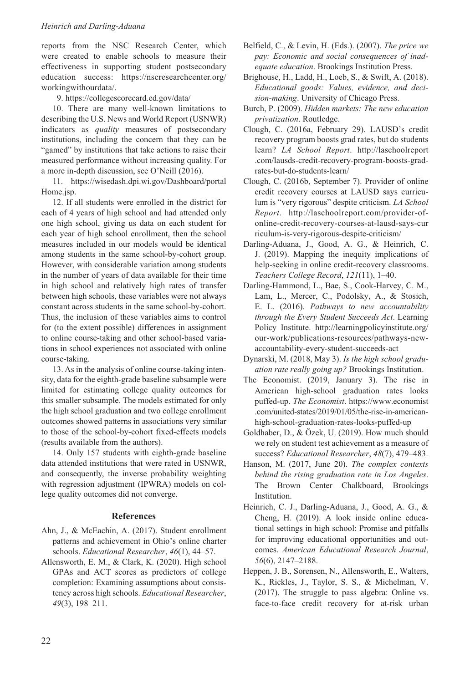reports from the NSC Research Center, which were created to enable schools to measure their effectiveness in supporting student postsecondary education success: [https://nscresearchcenter.org/](https://nscresearchcenter.org/workingwithourdata/) [workingwithourdata/.](https://nscresearchcenter.org/workingwithourdata/)

9. <https://collegescorecard.ed.gov/data/>

10. There are many well-known limitations to describing the U.S. News and World Report (USNWR) indicators as *quality* measures of postsecondary institutions, including the concern that they can be "gamed" by institutions that take actions to raise their measured performance without increasing quality. For a more in-depth discussion, see O'Neill (2016).

11. [https://wisedash.dpi.wi.gov/Dashboard/portal](https://wisedash.dpi.wi.gov/Dashboard/portalHome.jsp) [Home.jsp](https://wisedash.dpi.wi.gov/Dashboard/portalHome.jsp).

12. If all students were enrolled in the district for each of 4 years of high school and had attended only one high school, giving us data on each student for each year of high school enrollment, then the school measures included in our models would be identical among students in the same school-by-cohort group. However, with considerable variation among students in the number of years of data available for their time in high school and relatively high rates of transfer between high schools, these variables were not always constant across students in the same school-by-cohort. Thus, the inclusion of these variables aims to control for (to the extent possible) differences in assignment to online course-taking and other school-based variations in school experiences not associated with online course-taking.

13. As in the analysis of online course-taking intensity, data for the eighth-grade baseline subsample were limited for estimating college quality outcomes for this smaller subsample. The models estimated for only the high school graduation and two college enrollment outcomes showed patterns in associations very similar to those of the school-by-cohort fixed-effects models (results available from the authors).

14. Only 157 students with eighth-grade baseline data attended institutions that were rated in USNWR, and consequently, the inverse probability weighting with regression adjustment (IPWRA) models on college quality outcomes did not converge.

### **References**

- Ahn, J., & McEachin, A. (2017). Student enrollment patterns and achievement in Ohio's online charter schools. *Educational Researcher*, *46*(1), 44–57.
- Allensworth, E. M., & Clark, K. (2020). High school GPAs and ACT scores as predictors of college completion: Examining assumptions about consistency across high schools. *Educational Researcher*, *49*(3), 198–211.
- Belfield, C., & Levin, H. (Eds.). (2007). *The price we pay: Economic and social consequences of inadequate education*. Brookings Institution Press.
- Brighouse, H., Ladd, H., Loeb, S., & Swift, A. (2018). *Educational goods: Values, evidence, and decision-making*. University of Chicago Press.
- Burch, P. (2009). *Hidden markets: The new education privatization*. Routledge.
- Clough, C. (2016a, February 29). LAUSD's credit recovery program boosts grad rates, but do students learn? *LA School Report*. [http://laschoolreport](http://laschoolreport.com/lausds-credit-recovery-program-boosts-grad-rates-but-do-students-learn/) [.com/lausds-credit-recovery-program-boosts-grad](http://laschoolreport.com/lausds-credit-recovery-program-boosts-grad-rates-but-do-students-learn/)[rates-but-do-students-learn/](http://laschoolreport.com/lausds-credit-recovery-program-boosts-grad-rates-but-do-students-learn/)
- Clough, C. (2016b, September 7). Provider of online credit recovery courses at LAUSD says curriculum is "very rigorous" despite criticism. *LA School Report*. [http://laschoolreport.com/provider-of](http://laschoolreport.com/provider-of-online-credit-recovery-courses-at-lausd-says-curriculum-is-very-rigorous-despite-criticism/)[online-credit-recovery-courses-at-lausd-says-cur](http://laschoolreport.com/provider-of-online-credit-recovery-courses-at-lausd-says-curriculum-is-very-rigorous-despite-criticism/) [riculum-is-very-rigorous-despite-criticism/](http://laschoolreport.com/provider-of-online-credit-recovery-courses-at-lausd-says-curriculum-is-very-rigorous-despite-criticism/)
- Darling-Aduana, J., Good, A. G., & Heinrich, C. J. (2019). Mapping the inequity implications of help-seeking in online credit-recovery classrooms. *Teachers College Record*, *121*(11), 1–40.
- Darling-Hammond, L., Bae, S., Cook-Harvey, C. M., Lam, L., Mercer, C., Podolsky, A., & Stosich, E. L. (2016). *Pathways to new accountability through the Every Student Succeeds Act*. Learning Policy Institute. [http://learningpolicyinstitute.org/](http://learningpolicyinstitute.org/our-work/publications-resources/pathways-new-accountability-every-student-succeeds-act) [our-work/publications-resources/pathways-new](http://learningpolicyinstitute.org/our-work/publications-resources/pathways-new-accountability-every-student-succeeds-act)[accountability-every-student-succeeds-act](http://learningpolicyinstitute.org/our-work/publications-resources/pathways-new-accountability-every-student-succeeds-act)
- Dynarski, M. (2018, May 3). *Is the high school graduation rate really going up?* Brookings Institution.
- The Economist. (2019, January 3). The rise in American high-school graduation rates looks puffed-up. *The Economist*. [https://www.economist](https://www.economist.com/united-states/2019/01/05/the-rise-in-american-high-school-graduation-rates-looks-puffed-up) [.com/united-states/2019/01/05/the-rise-in-american](https://www.economist.com/united-states/2019/01/05/the-rise-in-american-high-school-graduation-rates-looks-puffed-up)[high-school-graduation-rates-looks-puffed-up](https://www.economist.com/united-states/2019/01/05/the-rise-in-american-high-school-graduation-rates-looks-puffed-up)
- Goldhaber, D., & Özek, U. (2019). How much should we rely on student test achievement as a measure of success? *Educational Researcher*, *48*(7), 479–483.
- Hanson, M. (2017, June 20). *The complex contexts behind the rising graduation rate in Los Angeles*. The Brown Center Chalkboard, Brookings Institution.
- Heinrich, C. J., Darling-Aduana, J., Good, A. G., & Cheng, H. (2019). A look inside online educational settings in high school: Promise and pitfalls for improving educational opportunities and outcomes. *American Educational Research Journal*, *56*(6), 2147–2188.
- Heppen, J. B., Sorensen, N., Allensworth, E., Walters, K., Rickles, J., Taylor, S. S., & Michelman, V. (2017). The struggle to pass algebra: Online vs. face-to-face credit recovery for at-risk urban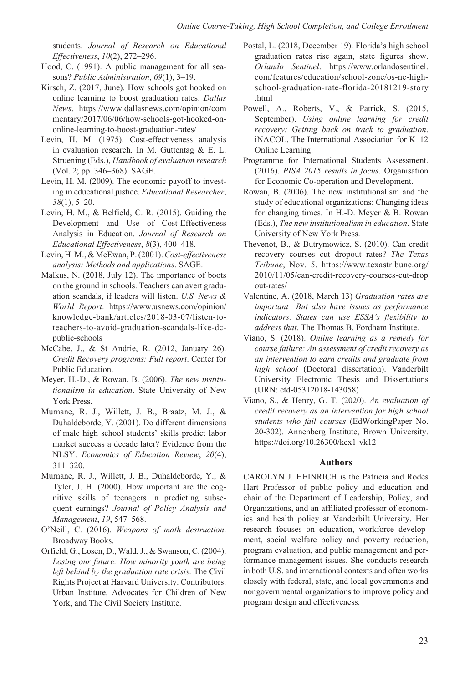students. *Journal of Research on Educational Effectiveness*, *10*(2), 272–296.

- Hood, C. (1991). A public management for all seasons? *Public Administration*, *69*(1), 3–19.
- Kirsch, Z. (2017, June). How schools got hooked on online learning to boost graduation rates. *Dallas News*. [https://www.dallasnews.com/opinion/com](https://www.dallasnews.com/opinion/commentary/2017/06/06/how-schools-got-hooked-on-online-learning-to-boost-graduation-rates/) [mentary/2017/06/06/how-schools-got-hooked-on](https://www.dallasnews.com/opinion/commentary/2017/06/06/how-schools-got-hooked-on-online-learning-to-boost-graduation-rates/)[online-learning-to-boost-graduation-rates/](https://www.dallasnews.com/opinion/commentary/2017/06/06/how-schools-got-hooked-on-online-learning-to-boost-graduation-rates/)
- Levin, H. M. (1975). Cost-effectiveness analysis in evaluation research. In M. Guttentag & E. L. Struening (Eds.), *Handbook of evaluation research* (Vol. 2; pp. 346–368). SAGE.
- Levin, H. M. (2009). The economic payoff to investing in educational justice. *Educational Researcher*, *38*(1), 5–20.
- Levin, H. M., & Belfield, C. R. (2015). Guiding the Development and Use of Cost-Effectiveness Analysis in Education. *Journal of Research on Educational Effectiveness*, *8*(3), 400–418.
- Levin, H. M., & McEwan, P. (2001). *Cost-effectiveness analysis: Methods and applications*. SAGE.
- Malkus, N. (2018, July 12). The importance of boots on the ground in schools. Teachers can avert graduation scandals, if leaders will listen. *U.S. News & World Report*. [https://www.usnews.com/opinion/](https://www.usnews.com/opinion/knowledge-bank/articles/2018-03-07/listen-to-teachers-to-avoid-graduation-scandals-like-dc-public-schools) [knowledge-bank/articles/2018-03-07/listen-to](https://www.usnews.com/opinion/knowledge-bank/articles/2018-03-07/listen-to-teachers-to-avoid-graduation-scandals-like-dc-public-schools)[teachers-to-avoid-graduation-scandals-like-dc](https://www.usnews.com/opinion/knowledge-bank/articles/2018-03-07/listen-to-teachers-to-avoid-graduation-scandals-like-dc-public-schools)[public-schools](https://www.usnews.com/opinion/knowledge-bank/articles/2018-03-07/listen-to-teachers-to-avoid-graduation-scandals-like-dc-public-schools)
- McCabe, J., & St Andrie, R. (2012, January 26). *Credit Recovery programs: Full report*. Center for Public Education.
- Meyer, H.-D., & Rowan, B. (2006). *The new institutionalism in education*. State University of New York Press.
- Murnane, R. J., Willett, J. B., Braatz, M. J., & Duhaldeborde, Y. (2001). Do different dimensions of male high school students' skills predict labor market success a decade later? Evidence from the NLSY. *Economics of Education Review*, *20*(4), 311–320.
- Murnane, R. J., Willett, J. B., Duhaldeborde, Y., & Tyler, J. H. (2000). How important are the cognitive skills of teenagers in predicting subsequent earnings? *Journal of Policy Analysis and Management*, *19*, 547–568.
- O'Neill, C. (2016). *Weapons of math destruction*. Broadway Books.
- Orfield, G., Losen, D., Wald, J., & Swanson, C. (2004). *Losing our future: How minority youth are being left behind by the graduation rate crisis*. The Civil Rights Project at Harvard University. Contributors: Urban Institute, Advocates for Children of New York, and The Civil Society Institute.
- Postal, L. (2018, December 19). Florida's high school graduation rates rise again, state figures show. *Orlando Sentinel*. [https://www.orlandosentinel.](https://www.orlandosentinel.com/features/education/school-zone/os-ne-high-school-graduation-rate-florida-20181219-story.html) [com/features/education/school-zone/os-ne-high](https://www.orlandosentinel.com/features/education/school-zone/os-ne-high-school-graduation-rate-florida-20181219-story.html)[school-graduation-rate-florida-20181219-story](https://www.orlandosentinel.com/features/education/school-zone/os-ne-high-school-graduation-rate-florida-20181219-story.html) [.html](https://www.orlandosentinel.com/features/education/school-zone/os-ne-high-school-graduation-rate-florida-20181219-story.html)
- Powell, A., Roberts, V., & Patrick, S. (2015, September). *Using online learning for credit recovery: Getting back on track to graduation*. iNACOL, The International Association for K–12 Online Learning.
- Programme for International Students Assessment. (2016). *PISA 2015 results in focus*. Organisation for Economic Co-operation and Development.
- Rowan, B. (2006). The new institutionalism and the study of educational organizations: Changing ideas for changing times. In H.-D. Meyer & B. Rowan (Eds.), *The new institutionalism in education*. State University of New York Press.
- Thevenot, B., & Butrymowicz, S. (2010). Can credit recovery courses cut dropout rates? *The Texas Tribune*, Nov. 5. [https://www.texastribune.org/](https://www.texastribune.org/2010/11/05/can-credit-recovery-courses-cut-dropout-rates/) [2010/11/05/can-credit-recovery-courses-cut-drop](https://www.texastribune.org/2010/11/05/can-credit-recovery-courses-cut-dropout-rates/) [out-rates/](https://www.texastribune.org/2010/11/05/can-credit-recovery-courses-cut-dropout-rates/)
- Valentine, A. (2018, March 13) *Graduation rates are important—But also have issues as performance indicators. States can use ESSA's flexibility to address that*. The Thomas B. Fordham Institute.
- Viano, S. (2018). *Online learning as a remedy for course failure: An assessment of credit recovery as an intervention to earn credits and graduate from high school* (Doctoral dissertation). Vanderbilt University Electronic Thesis and Dissertations (URN: etd-05312018-143058)
- Viano, S., & Henry, G. T. (2020). *An evaluation of credit recovery as an intervention for high school students who fail courses* (EdWorkingPaper No. 20-302). Annenberg Institute, Brown University. <https://doi.org/10.26300/kcx1-vk12>

### **Authors**

CAROLYN J. HEINRICH is the Patricia and Rodes Hart Professor of public policy and education and chair of the Department of Leadership, Policy, and Organizations, and an affiliated professor of economics and health policy at Vanderbilt University. Her research focuses on education, workforce development, social welfare policy and poverty reduction, program evaluation, and public management and performance management issues. She conducts research in both U.S. and international contexts and often works closely with federal, state, and local governments and nongovernmental organizations to improve policy and program design and effectiveness.